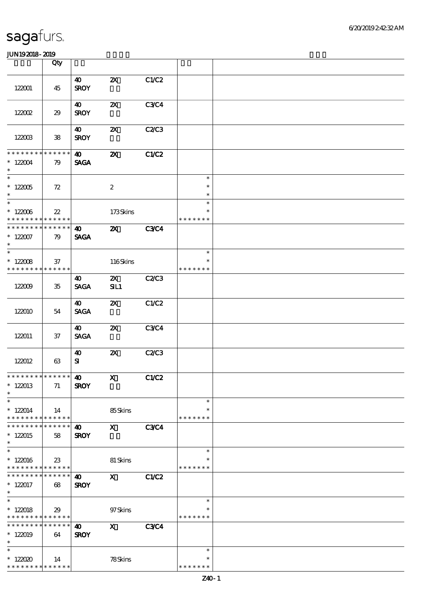|                                                             | Qty                   |                                      |                                  |              |                         |  |
|-------------------------------------------------------------|-----------------------|--------------------------------------|----------------------------------|--------------|-------------------------|--|
|                                                             |                       | $\boldsymbol{\omega}$                | $\boldsymbol{\mathsf{Z}}$        | C1/C2        |                         |  |
| 122001                                                      | 45                    | <b>SROY</b>                          |                                  |              |                         |  |
|                                                             |                       | 40                                   | $\boldsymbol{\mathsf{z}}$        | <b>C3C4</b>  |                         |  |
| 122002                                                      | 29                    | <b>SROY</b>                          |                                  |              |                         |  |
|                                                             |                       | 40                                   | $\boldsymbol{\mathsf{z}}$        | C2C3         |                         |  |
| 122003                                                      | ${\bf 38}$            | <b>SROY</b>                          |                                  |              |                         |  |
| * * * * * * * *                                             | * * * * * *           | $\boldsymbol{\omega}$                | $\boldsymbol{\mathsf{z}}$        | C1/C2        |                         |  |
| $*122004$<br>$\ast$                                         | 79                    | <b>SAGA</b>                          |                                  |              |                         |  |
| $\overline{\phantom{0}}$                                    |                       |                                      |                                  |              | $\ast$                  |  |
| $^\ast$ 122005<br>$\ast$                                    | 72                    |                                      | $\boldsymbol{2}$                 |              | $\ast$                  |  |
| $\overline{\ast}$                                           |                       |                                      |                                  |              | $\ast$<br>$\ast$        |  |
| $^\ast$ 122006<br>* * * * * * * *                           | $22\,$<br>******      |                                      | 173Skins                         |              | $\ast$<br>* * * * * * * |  |
| * * * * * * * *                                             | * * * * * *           | $\boldsymbol{\omega}$                | $\boldsymbol{\mathsf{Z}}$        | <b>C3C4</b>  |                         |  |
| $* 122007$<br>$\ast$                                        | 79                    | <b>SAGA</b>                          |                                  |              |                         |  |
| $\overline{\ast}$                                           |                       |                                      |                                  |              | $\ast$                  |  |
| $* 122008$                                                  | 37                    |                                      | 116Skins                         |              | $\ast$                  |  |
| * * * * * * * *                                             | * * * * * *           |                                      |                                  |              | * * * * * * *           |  |
| 122009                                                      | 35                    | 40<br><b>SAGA</b>                    | $\boldsymbol{\mathsf{Z}}$<br>SL1 | C2C3         |                         |  |
|                                                             |                       | $\boldsymbol{\omega}$                | $\boldsymbol{\mathsf{Z}}$        | C1/C2        |                         |  |
| 122010                                                      | 54                    | <b>SAGA</b>                          |                                  |              |                         |  |
|                                                             |                       | 40                                   | $\boldsymbol{\mathsf{X}}$        | <b>C3C4</b>  |                         |  |
| 122011                                                      | 37                    | <b>SAGA</b>                          |                                  |              |                         |  |
|                                                             |                       | 40                                   | $\boldsymbol{\mathsf{Z}}$        | C2/C3        |                         |  |
| 122012                                                      | 63                    | ${\bf s}$                            |                                  |              |                         |  |
| **************** 10                                         |                       |                                      | $\mathbf{X}$                     | <b>C1/C2</b> |                         |  |
| $*122013$<br>$\ast$                                         | 71                    | <b>SROY</b>                          |                                  |              |                         |  |
| $\ast$                                                      |                       |                                      |                                  |              | $\ast$                  |  |
| $*122014$<br>* * * * * * * *                                | 14<br>$* * * * * * *$ |                                      | 85Skins                          |              | $\ast$<br>* * * * * * * |  |
|                                                             | * * * * * *           | $\boldsymbol{\omega}$                | $\mathbf{x}$                     | <b>C3C4</b>  |                         |  |
| $*122015$<br>$\ast$                                         | 58                    | <b>SROY</b>                          |                                  |              |                         |  |
| $\overline{\ast}$                                           |                       |                                      |                                  |              | $\ast$                  |  |
| $*122016$<br>* * * * * * * * <mark>* * * * * *</mark>       | 23                    |                                      | 81 Skins                         |              | ∗<br>* * * * * * *      |  |
| * * * * * * * *                                             | $* * * * * * *$       | $\boldsymbol{\omega}$                | $\mathbf{x}$                     | C1/C2        |                         |  |
| $* 122017$<br>$*$                                           | 68                    | <b>SROY</b>                          |                                  |              |                         |  |
| $\overline{\ast}$                                           |                       |                                      |                                  |              | $\ast$                  |  |
| $*122018$                                                   | 29                    |                                      | 97Skins                          |              |                         |  |
| * * * * * * * * <mark>* * * * * *</mark><br>* * * * * * * * | * * * * * *           |                                      |                                  |              | * * * * * * *           |  |
| $*122019$                                                   | 64                    | $\boldsymbol{\omega}$<br><b>SROY</b> | $\mathbf{x}$                     | <b>C3C4</b>  |                         |  |
| $\ast$                                                      |                       |                                      |                                  |              |                         |  |
| $\ast$                                                      |                       |                                      |                                  |              | $\ast$                  |  |
| $*122020$                                                   | 14                    |                                      | 78Skins                          |              | $\ast$                  |  |
| * * * * * * * *                                             | * * * * * *           |                                      |                                  |              | * * * * * * *           |  |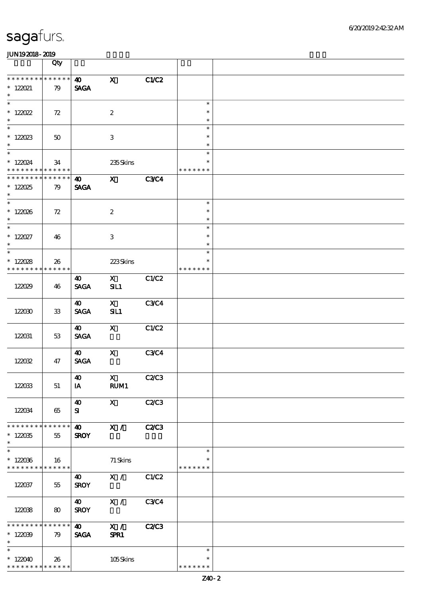|                                                                   | Qty                   |                                                         |                      |              |                                   |  |
|-------------------------------------------------------------------|-----------------------|---------------------------------------------------------|----------------------|--------------|-----------------------------------|--|
| * * * * * * * * * * * * * *<br>$*$ 122021<br>$\ast$               | 79                    | $\boldsymbol{\omega}$<br><b>SAGA</b>                    | $\mathbf{x}$         | C1/C2        |                                   |  |
| $\overline{\phantom{0}}$<br>$* 120022$<br>$\ast$                  | 72                    |                                                         | $\boldsymbol{2}$     |              | $\ast$<br>$\ast$<br>$\ast$        |  |
| $* 122023$<br>$\ast$                                              | 50                    |                                                         | $\,3$                |              | $\ast$<br>$\ast$<br>$\ast$        |  |
| $* 122024$<br>* * * * * * * *                                     | 34<br>* * * * * *     |                                                         | 235Skins             |              | $\ast$<br>$\ast$<br>* * * * * * * |  |
| * * * * * * * *<br>$* 122025$<br>$\ast$                           | * * * * * *<br>79     | $\boldsymbol{\omega}$<br><b>SAGA</b>                    | $\mathbf{x}$         | <b>C3C4</b>  |                                   |  |
| $*$<br>$* 122026$<br>$\ast$                                       | 72                    |                                                         | $\boldsymbol{2}$     |              | $\ast$<br>$\ast$<br>$\ast$        |  |
| $\overline{\ast}$<br>$* 122027$<br>$\ast$                         | 46                    |                                                         | 3                    |              | $\ast$<br>$\ast$<br>$\ast$        |  |
| $\overline{\ast}$<br>$* 122028$<br>* * * * * * * *                | 26<br>$* * * * * * *$ |                                                         | 223Skins             |              | $\ast$<br>$\ast$<br>* * * * * * * |  |
| 122029                                                            | 46                    | 40<br><b>SAGA</b>                                       | $\mathbf{X}$<br>SL1  | C1/C2        |                                   |  |
| 122030                                                            | $33\,$                | 40<br><b>SAGA</b>                                       | $\mathbf{X}$<br>SL1  | <b>C3C4</b>  |                                   |  |
| 122031                                                            | 53                    | $\boldsymbol{\omega}$<br><b>SAGA</b>                    | $\mathbf{X}$         | C1/C2        |                                   |  |
| 122032                                                            | 47                    | $\boldsymbol{\omega}$<br>$\operatorname{\mathsf{SAGA}}$ | $\mathbf x$          | C3C4         |                                   |  |
| 122033                                                            | 51                    | $\boldsymbol{\omega}$<br>IA                             | $\mathbf{X}$<br>RUM1 | <b>C2/C3</b> |                                   |  |
| 122034                                                            | 65                    | $\boldsymbol{\omega}$<br>${\bf s}$                      | $\mathbf{X}$         | <b>C2/C3</b> |                                   |  |
| * * * * * * * * * * * * * *<br>$*122035$<br>$\ast$                | 55                    | $\boldsymbol{\omega}$<br><b>SROY</b>                    | X /                  | <b>C2/C3</b> |                                   |  |
| $\ast$<br>$*122036$<br>* * * * * * * * <mark>* * * * * * *</mark> | 16                    |                                                         | $71$ Skins           |              | $\ast$<br>∗<br>* * * * * * *      |  |
| 122037                                                            | 55                    | $\boldsymbol{\omega}$<br><b>SROY</b>                    | $X / \sqrt{2}$       | C1/C2        |                                   |  |
| 122038                                                            | 80                    | $\boldsymbol{\omega}$<br><b>SROY</b>                    | X /                  | <b>C3C4</b>  |                                   |  |
| * * * * * * * * * * * * * *<br>$*122039$<br>$\ast$                | 79                    | $\boldsymbol{\omega}$<br><b>SAGA</b>                    | X /<br>SPR1          | C2C3         |                                   |  |
| $\ast$<br>$*122040$<br>* * * * * * * * <mark>* * * * * * *</mark> | 26                    |                                                         | 105Skins             |              | $\ast$<br>$\ast$<br>* * * * * * * |  |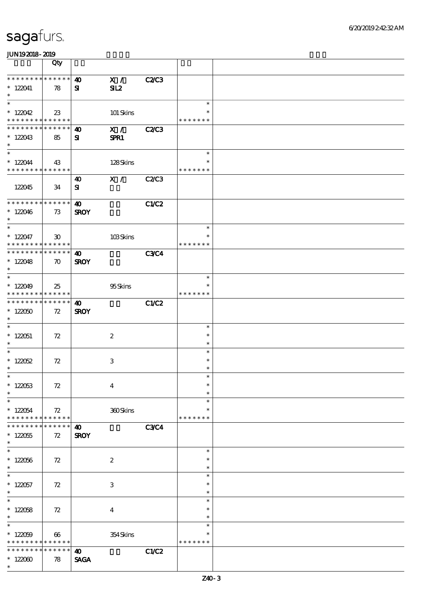|                                              | Qty                         |                       |                         |              |                    |  |
|----------------------------------------------|-----------------------------|-----------------------|-------------------------|--------------|--------------------|--|
| * * * * * * * * * * * * * *                  |                             | $\boldsymbol{\omega}$ | X /                     | <b>C2/C3</b> |                    |  |
| $*122041$                                    | 78                          | ${\bf s}$             | SL2                     |              |                    |  |
| $\ast$                                       |                             |                       |                         |              |                    |  |
| $\ast$                                       |                             |                       |                         |              | $\ast$             |  |
| $*122042$                                    | 23                          |                       | 101 Skins               |              | $\ast$             |  |
| * * * * * * * * <mark>* * * * * * *</mark>   |                             |                       |                         |              | * * * * * * *      |  |
| ******** <mark>******</mark>                 |                             | 40                    | X /                     | <b>C2/C3</b> |                    |  |
| $*122043$<br>$\ast$                          | 85                          | ${\bf s}$             | SPR1                    |              |                    |  |
| $\overline{\ast}$                            |                             |                       |                         |              | $\ast$             |  |
| $*122044$                                    | 43                          |                       | 128Skins                |              | $\ast$             |  |
| * * * * * * * * * * * * * *                  |                             |                       |                         |              | * * * * * * *      |  |
|                                              |                             | 40                    | $X / \sqrt{2}$          | C2C3         |                    |  |
| 122045                                       | 34                          | ${\bf s}$             |                         |              |                    |  |
|                                              |                             |                       |                         |              |                    |  |
| * * * * * * * * * * * * * *                  |                             | $\boldsymbol{\omega}$ |                         | <b>C1/C2</b> |                    |  |
| $*122046$<br>$\ast$                          | 73                          | <b>SROY</b>           |                         |              |                    |  |
| $\ast$                                       |                             |                       |                         |              | $\ast$             |  |
| $* 122047$                                   | $\boldsymbol{\mathfrak{D}}$ |                       | 103Skins                |              | $\ast$             |  |
| * * * * * * * * * * * * * *                  |                             |                       |                         |              | * * * * * * *      |  |
| * * * * * * * * * * * * * *                  |                             | $\boldsymbol{\Phi}$   |                         | <b>C3C4</b>  |                    |  |
| $* 122048$                                   | $\boldsymbol{\pi}$          | <b>SROY</b>           |                         |              |                    |  |
| $\ast$<br>$\overline{\ast}$                  |                             |                       |                         |              |                    |  |
|                                              |                             |                       |                         |              | $\ast$<br>*        |  |
| $*122049$<br>* * * * * * * * * * * * * *     | 25                          |                       | 95Skins                 |              | * * * * * * *      |  |
| * * * * * * * * * * * * * *                  |                             | $\boldsymbol{\omega}$ |                         | C1/C2        |                    |  |
| $*122050$                                    | 72                          | <b>SROY</b>           |                         |              |                    |  |
| $\ast$                                       |                             |                       |                         |              |                    |  |
| $\ast$                                       |                             |                       |                         |              | $\ast$             |  |
| $* 122051$                                   | 72                          |                       | $\boldsymbol{2}$        |              | $\ast$             |  |
| $\ast$<br>$\overline{\ast}$                  |                             |                       |                         |              | $\ast$<br>$\ast$   |  |
| $* 122052$                                   | 72                          |                       | $\,3$                   |              | $\ast$             |  |
| $\ast$                                       |                             |                       |                         |              | $\ast$             |  |
| $*$                                          |                             |                       |                         |              | $\ast$             |  |
| $* 122053$                                   | 72                          |                       | $\boldsymbol{4}$        |              | $\ast$             |  |
| $\ast$                                       |                             |                       |                         |              | $\ast$             |  |
| $\ast$                                       |                             |                       |                         |              | $\ast$             |  |
| $*122054$                                    | 72                          |                       | 360Skins                |              | *<br>* * * * * * * |  |
| * * * * * * * * * * * * * *<br>* * * * * * * | $******$                    | $\boldsymbol{\omega}$ |                         | <b>C3C4</b>  |                    |  |
| $*122055$                                    | 72                          | <b>SROY</b>           |                         |              |                    |  |
| $\ast$                                       |                             |                       |                         |              |                    |  |
| $\overline{\ast}$                            |                             |                       |                         |              | $\ast$             |  |
| $* 122056$                                   | 72                          |                       | $\boldsymbol{2}$        |              | $\ast$             |  |
| $\ast$                                       |                             |                       |                         |              | $\ast$             |  |
| $\ast$                                       |                             |                       |                         |              | $\ast$             |  |
| $* 122057$<br>$\ast$                         | 72                          |                       | 3                       |              | $\ast$<br>$\ast$   |  |
| $\overline{\ast}$                            |                             |                       |                         |              | $\ast$             |  |
| $* 122058$                                   | 72                          |                       | $\overline{\mathbf{4}}$ |              | $\ast$             |  |
| $\ast$                                       |                             |                       |                         |              | $\ast$             |  |
| $\ast$                                       |                             |                       |                         |              | $\ast$             |  |
| $*122059$                                    | 66                          |                       | 354Skins                |              | $\ast$             |  |
| * * * * * * * * <mark>* * * * * *</mark>     |                             |                       |                         |              | * * * * * * *      |  |
| * * * * * * * *                              | * * * * * *                 | $\boldsymbol{\omega}$ |                         | C1/C2        |                    |  |
| $*122000$<br>$\ast$                          | 78                          | <b>SAGA</b>           |                         |              |                    |  |
|                                              |                             |                       |                         |              |                    |  |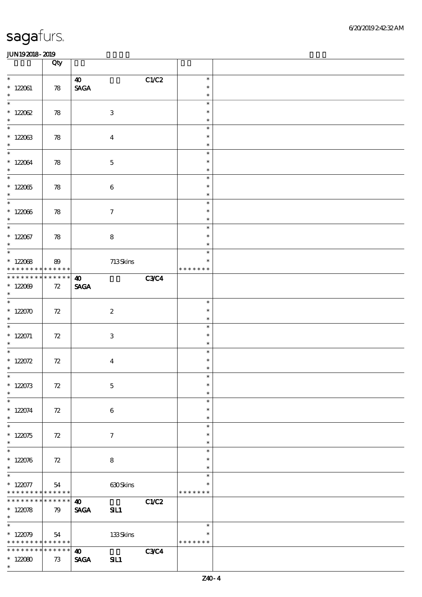|                                                                              | Qty               |                                                       |              |                                   |  |
|------------------------------------------------------------------------------|-------------------|-------------------------------------------------------|--------------|-----------------------------------|--|
| $\ast$<br>$*122061$<br>$\ast$                                                | 78                | $\boldsymbol{\omega}$<br>$\ensuremath{\mathsf{SAGA}}$ | C1/C2        | $\ast$<br>$\ast$<br>$\ast$        |  |
| $\overline{\ast}$<br>$* 122062$<br>$\ast$                                    | 78                | $\ensuremath{\mathbf{3}}$                             |              | $\ast$<br>$\ast$<br>$\ast$        |  |
| $\overline{\ast}$<br>$*122063$<br>$\ast$                                     | 78                | $\overline{\mathbf{4}}$                               |              | $\ast$<br>$\ast$<br>$\ast$        |  |
| $\overline{\ast}$<br>$* 122064$<br>$\ast$                                    | 78                | $\mathbf 5$                                           |              | $\ast$<br>$\ast$<br>$\ast$        |  |
| $\overline{\phantom{0}}$<br>$*122065$<br>$\ast$                              | 78                | $\bf 6$                                               |              | $\ast$<br>$\ast$<br>$\ast$        |  |
| $*122066$<br>$\ast$                                                          | 78                | $\tau$                                                |              | $\ast$<br>$\ast$<br>$\ast$        |  |
| $\overline{\phantom{0}}$<br>$*$ 122067<br>$\ast$<br>$\overline{\phantom{0}}$ | 78                | $\bf 8$                                               |              | $\ast$<br>$\ast$<br>$\ast$        |  |
| $*122088$<br>* * * * * * * * * * * * * * *                                   | 89                | $713$ Skins                                           |              | $\ast$<br>$\ast$<br>* * * * * * * |  |
| * * * * * * * * * * * * * * *<br>$* 122009$<br>$\ast$                        | 72                | $\boldsymbol{\omega}$<br><b>SAGA</b>                  | <b>C3C4</b>  |                                   |  |
| $*122070$<br>$\ast$                                                          | 72                | $\boldsymbol{z}$                                      |              | $\ast$<br>$\ast$<br>$\ast$        |  |
| $\overline{\phantom{0}}$<br>$* 122071$<br>$\ast$                             | 72                | 3                                                     |              | $\ast$<br>$\ast$<br>$\ast$        |  |
| $\overline{\ast}$<br>* $122072$<br>$\ast$                                    | 72                | $\boldsymbol{4}$                                      |              | $\ast$<br>$\ast$<br>$\ast$        |  |
| $*$<br>$* 122073$<br>$\ast$                                                  | 72                | $\mathbf 5$                                           |              | $\ast$<br>$\ast$<br>$\ast$        |  |
| $\ast$<br>$* 122074$<br>$\ast$<br>$\overline{\ast}$                          | 72                | 6                                                     |              | $\ast$<br>$\ast$<br>$\ast$        |  |
| $*122075$<br>$\ast$                                                          | 72                | $\tau$                                                |              | $\ast$<br>$\ast$<br>$\ast$        |  |
| $\ast$<br>$* 122076$<br>$\ast$<br>$\ast$                                     | 72                | ${\bf 8}$                                             |              | $\ast$<br>$\ast$<br>$\ast$        |  |
| $*122077$<br>* * * * * * * * <mark>* * * * * * *</mark>                      | 54                | 630Skins                                              |              | $\ast$<br>$\ast$<br>* * * * * * * |  |
| * * * * * * * * * * * * * * *<br>$* 122078$<br>$\ast$                        | 79                | $\boldsymbol{\omega}$<br><b>SAGA</b><br>SL1           | <b>C1/C2</b> |                                   |  |
| $\ast$<br>$*122079$<br>* * * * * * * * <mark>* * * * * * *</mark>            | 54                | 133Skins                                              |              | $\ast$<br>$\ast$<br>* * * * * * * |  |
| * * * * * * * *<br>$*122080$<br>$\ast$                                       | * * * * * *<br>73 | $\boldsymbol{\omega}$<br><b>SAGA</b><br>SL1           | <b>C3C4</b>  |                                   |  |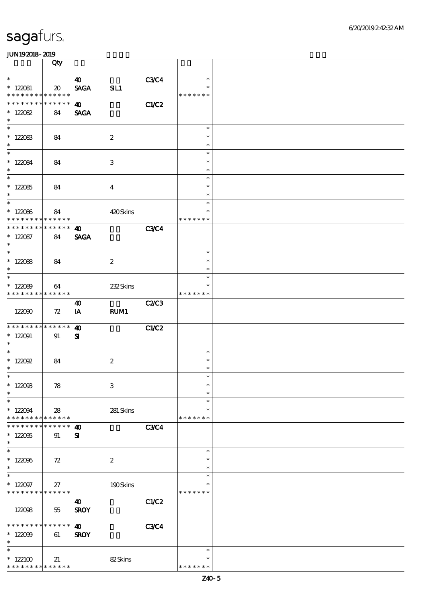|                                                  | Qty                        |                       |                         |             |                                   |  |
|--------------------------------------------------|----------------------------|-----------------------|-------------------------|-------------|-----------------------------------|--|
| $\ast$                                           |                            | $\boldsymbol{\omega}$ |                         | <b>C3C4</b> | $\ast$                            |  |
| $* 122081$<br>* * * * * * * * * * * * * *        | $\boldsymbol{\mathsf{20}}$ | <b>SAGA</b>           | SL1                     |             | $\ast$<br>* * * * * * *           |  |
| * * * * * * * * * * * * * *                      |                            | $\boldsymbol{\Phi}$   |                         |             |                                   |  |
| $* 122082$<br>$\ast$                             | 84                         | <b>SAGA</b>           |                         | C1/C2       |                                   |  |
| $*122083$                                        | 84                         |                       | $\boldsymbol{2}$        |             | $\ast$<br>$\ast$                  |  |
| $\ast$<br>$\overline{\phantom{0}}$               |                            |                       |                         |             | $\ast$<br>$\ast$                  |  |
| $* 122084$<br>$\ast$<br>$\overline{\phantom{0}}$ | 84                         |                       | 3                       |             | $\ast$<br>$\ast$                  |  |
| $*122085$<br>$\ast$                              | 84                         |                       | $\overline{\mathbf{4}}$ |             | $\ast$<br>$\ast$<br>$\ast$        |  |
| $*122086$<br>* * * * * * * * * * * * * * *       | 84                         |                       | 420Skins                |             | $\ast$<br>$\ast$<br>* * * * * * * |  |
| * * * * * * * * * * * * * *                      |                            | $\boldsymbol{\omega}$ |                         | <b>C3C4</b> |                                   |  |
| $* 122087$<br>$\ast$                             | 84                         | <b>SAGA</b>           |                         |             |                                   |  |
| $\overline{\phantom{0}}$                         |                            |                       |                         |             | $\ast$                            |  |
| $* 122088$<br>$\ast$<br>$\overline{\phantom{0}}$ | 84                         |                       | $\boldsymbol{2}$        |             | $\ast$<br>$\ast$                  |  |
| $*12089$<br>* * * * * * * * * * * * * *          | 64                         |                       | 232Skins                |             | $\ast$<br>*<br>* * * * * * *      |  |
|                                                  |                            | 40                    |                         | C2C3        |                                   |  |
| 122090                                           | 72                         | IA                    | <b>RUM1</b>             |             |                                   |  |
| * * * * * * * * * * * * * * *                    |                            | $\boldsymbol{\omega}$ |                         | C1/C2       |                                   |  |
| $* 122091$<br>$*$                                | 91                         | ${\bf s}$             |                         |             |                                   |  |
| $* 122092$<br>$\ast$                             | 84                         |                       | $\boldsymbol{2}$        |             | $\ast$<br>$\ast$                  |  |
| $*$                                              |                            |                       |                         |             | $\ast$                            |  |
| $* 12200B$<br>$\ast$                             | 78                         |                       | $\,3$                   |             | $\ast$<br>$\ast$<br>$\ast$        |  |
| $\ast$                                           |                            |                       |                         |             | $\ast$                            |  |
| $*122094$<br>* * * * * * * *                     | 28<br>* * * * * *          |                       | 281 Skins               |             | $\ast$<br>* * * * * * *           |  |
| * * * * * * *                                    | * * * * * *                | $\boldsymbol{\omega}$ |                         | <b>C3C4</b> |                                   |  |
| $*122095$<br>$\ast$                              | 91                         | ${\bf s}$             |                         |             |                                   |  |
| $\ast$                                           |                            |                       |                         |             | $\ast$                            |  |
| $*122096$<br>$\ast$<br>$\ast$                    | 72                         |                       | $\boldsymbol{2}$        |             | $\ast$<br>$\ast$                  |  |
| $*122097$<br>* * * * * * * * * * * * * *         | 27                         |                       | 190Skins                |             | $\ast$<br>$\ast$<br>* * * * * * * |  |
|                                                  |                            | $\boldsymbol{\omega}$ |                         | C1/C2       |                                   |  |
| 122098                                           | 55                         | <b>SROY</b>           |                         |             |                                   |  |
| * * * * * * * *                                  | * * * * * *                | $\boldsymbol{\omega}$ |                         | <b>C3C4</b> |                                   |  |
| $*122099$<br>$\ast$                              | 61                         | <b>SROY</b>           |                         |             |                                   |  |
| $\ast$                                           |                            |                       |                         |             | $\ast$                            |  |
| $*122100$<br>* * * * * * * * * * * * * *         | 21                         |                       | 82Skins                 |             | $\ast$<br>* * * * * * *           |  |
|                                                  |                            |                       |                         |             |                                   |  |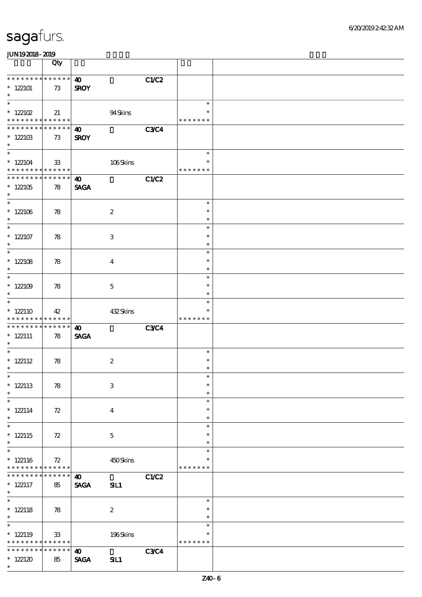|                                                                    | Qty                   |                                              |              |                                   |  |
|--------------------------------------------------------------------|-----------------------|----------------------------------------------|--------------|-----------------------------------|--|
| * * * * * * * * * * * * * *<br>$*122101$<br>$\ast$                 | 73                    | $\boldsymbol{\omega}$<br><b>SROY</b>         | C1/C2        |                                   |  |
| $\ast$<br>$*$ 122102<br>* * * * * * * * <mark>* * * * * * *</mark> | 21                    | 94Skins                                      |              | $\ast$<br>$\ast$<br>* * * * * * * |  |
| * * * * * * * *<br>$*122103$<br>$\ast$                             | ******<br>73          | $\boldsymbol{\omega}$<br><b>SROY</b>         | <b>C3C4</b>  |                                   |  |
| $\overline{\ast}$<br>$*122104$<br>* * * * * * * * * * * * * * *    | ${\bf 33}$            | 106Skins                                     |              | $\ast$<br>$\ast$<br>* * * * * * * |  |
| **************<br>$*122105$<br>$\ast$                              | 78                    | $\boldsymbol{\omega}$<br><b>SAGA</b>         | <b>C1/C2</b> |                                   |  |
| $*122106$<br>$\ast$                                                | 78                    | $\boldsymbol{z}$                             |              | $\ast$<br>$\ast$<br>$\ast$        |  |
| $\ast$<br>$*122107$<br>$\ast$                                      | 78                    | $\,3$                                        |              | $\ast$<br>$\ast$<br>$\ast$        |  |
| $\ast$<br>$* 122108$<br>$\ast$                                     | 78                    | $\boldsymbol{4}$                             |              | $\ast$<br>$\ast$<br>$\ast$        |  |
| $\ast$<br>$*122109$<br>$\ast$                                      | 78                    | $\mathbf 5$                                  |              | $\ast$<br>$\ast$<br>$\ast$        |  |
| $\overline{\ast}$<br>$*122110$<br>* * * * * * * * * * * * * *      | 42                    | 432Skins                                     |              | $\ast$<br>* * * * * * *           |  |
| * * * * * * * *<br>$*$ 122111<br>$\ast$                            | $* * * * * * *$<br>78 | $\boldsymbol{\omega}$<br><b>SAGA</b>         | <b>C3C4</b>  |                                   |  |
| $\ast$<br>$* 122112$<br>$\ast$                                     | 78                    | $\boldsymbol{2}$                             |              | $\ast$<br>$\ast$<br>$\ast$        |  |
| $*$<br>$*$ 122113<br>$\ast$                                        | 78                    | $\,3$                                        |              | $\ast$<br>$\ast$<br>$\ast$        |  |
| $\ast$<br>$* 122114$<br>$\ast$                                     | 72                    | $\bf{4}$                                     |              | $\ast$<br>$\ast$<br>$\ast$        |  |
| $\overline{\ast}$<br>$* 122115$<br>$\ast$                          | 72                    | $\mathbf{5}$                                 |              | $\ast$<br>$\ast$<br>$\ast$        |  |
| $\overline{\ast}$<br>$*122116$<br>* * * * * * * * * * * * * *      | 72                    | 450Skins                                     |              | $\ast$<br>$\ast$<br>* * * * * * * |  |
| * * * * * * *<br>$* 122117$<br>$*$                                 | ******<br>85          | $\boldsymbol{\omega}$<br><b>SAGA</b><br>SIL1 | C1/C2        |                                   |  |
| $\overline{\phantom{0}}$<br>$* 122118$<br>$\ast$                   | 78                    | $\boldsymbol{2}$                             |              | $\ast$<br>$\ast$<br>$\ast$        |  |
| $\ast$<br>$*122119$<br>* * * * * * * * <mark>* * * * * * *</mark>  | $33\,$                | 196Skins                                     |              | $\ast$<br>$\ast$<br>* * * * * * * |  |
|                                                                    |                       | * * * * * *<br>$\boldsymbol{\omega}$         | <b>C3C4</b>  |                                   |  |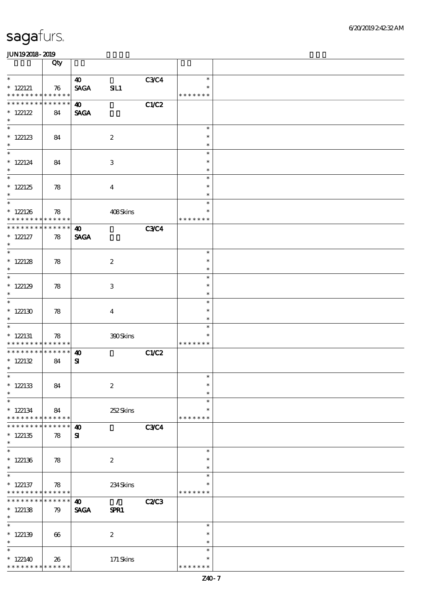|                                                          | Qty                   |                       |                  |              |                         |  |
|----------------------------------------------------------|-----------------------|-----------------------|------------------|--------------|-------------------------|--|
| $\ast$                                                   |                       | $\boldsymbol{\omega}$ |                  | C3C4         | $\ast$                  |  |
| $*$ 122121<br>* * * * * * * * * * * * * *                | 76                    | <b>SAGA</b>           | SL1              |              | $\ast$<br>* * * * * * * |  |
| * * * * * * * * * * * * * *                              |                       | $\boldsymbol{\omega}$ |                  | C1/C2        |                         |  |
| * 122122<br>$\ast$                                       | 84                    | <b>SAGA</b>           |                  |              |                         |  |
| $\overline{\ast}$                                        |                       |                       |                  |              | $\ast$                  |  |
| $* 122123$<br>$\ast$                                     | 84                    |                       | $\boldsymbol{2}$ |              | $\ast$<br>$\ast$        |  |
| $\overline{\phantom{0}}$                                 |                       |                       |                  |              | $\ast$                  |  |
| $*$ 122124<br>$\ast$                                     | 84                    |                       | $\,3$            |              | $\ast$<br>$\ast$        |  |
| $\overline{\phantom{0}}$                                 |                       |                       |                  |              | $\ast$                  |  |
| $*$ 122125<br>$\ast$                                     | 78                    |                       | $\boldsymbol{4}$ |              | $\ast$<br>$\ast$        |  |
| $\overline{\phantom{0}}$                                 |                       |                       |                  |              | $\ast$                  |  |
| $*$ 122126<br>* * * * * * * * * * * * * *                | 78                    |                       | 408Skins         |              | $\ast$<br>* * * * * * * |  |
| * * * * * * * * * * * * * *                              |                       | $\boldsymbol{\omega}$ |                  | <b>C3C4</b>  |                         |  |
| $*$ 122127<br>$\ast$                                     | 78                    | <b>SAGA</b>           |                  |              |                         |  |
| $\overline{\phantom{0}}$                                 |                       |                       |                  |              | $\ast$                  |  |
| $* 122128$<br>$\ast$                                     | 78                    |                       | $\boldsymbol{2}$ |              | $\ast$<br>$\ast$        |  |
|                                                          |                       |                       |                  |              | $\ast$                  |  |
| $*$ 122129<br>$\ast$                                     | 78                    |                       | $\,3$            |              | $\ast$<br>$\ast$        |  |
| $\overline{\phantom{0}}$                                 |                       |                       |                  |              | $\ast$                  |  |
| $*$ 122130<br>$\ast$                                     | 78                    |                       | $\boldsymbol{4}$ |              | $\ast$<br>$\ast$        |  |
| $\overline{\phantom{a}^*}$                               |                       |                       |                  |              | $\ast$                  |  |
| $*$ 122131<br>* * * * * * * * <mark>* * * * * * *</mark> | 78                    |                       | 390Skins         |              | $\ast$<br>* * * * * * * |  |
| **************                                           |                       | $\boldsymbol{\omega}$ |                  | CLC2         |                         |  |
| * $122132$<br>$\ast$                                     | 84                    | ${\bf s}$             |                  |              |                         |  |
| $*$                                                      |                       |                       |                  |              | $\ast$                  |  |
| $*$ 122133<br>$\ast$                                     | 84                    |                       | $\boldsymbol{2}$ |              | $\ast$<br>$\ast$        |  |
| $\ast$                                                   |                       |                       |                  |              | $\ast$                  |  |
| $*122134$<br>* * * * * * * * <mark>* * * * * * *</mark>  | 84                    |                       | 252Skins         |              | $\ast$<br>* * * * * * * |  |
| * * * * * * *                                            | * * * * * *           | $\boldsymbol{\omega}$ |                  | <b>C3C4</b>  |                         |  |
| $*122135$<br>$\ast$                                      | 78                    | ${\bf s}$             |                  |              |                         |  |
| $\ast$                                                   |                       |                       |                  |              | $\ast$                  |  |
| $*$ 122136<br>$\ast$                                     | 78                    |                       | $\boldsymbol{2}$ |              | $\ast$<br>$\ast$        |  |
| $\overline{\phantom{0}}$                                 |                       |                       |                  |              | $\ast$                  |  |
| $*$ 122137<br>* * * * * * * * <mark>* * * * * *</mark>   | 78                    |                       | 234Skins         |              | $\ast$<br>* * * * * * * |  |
| * * * * * * * *                                          | * * * * * *           | $\boldsymbol{\omega}$ | $\mathcal{L}$    | <b>C2/C3</b> |                         |  |
| $*122138$<br>$\ast$                                      | 79                    | <b>SAGA</b>           | SPR1             |              |                         |  |
| $\ast$                                                   |                       |                       |                  |              | $\ast$                  |  |
| $*122139$<br>$\ast$                                      | $\boldsymbol{\omega}$ |                       | $\boldsymbol{2}$ |              | $\ast$<br>$\ast$        |  |
| $\ast$                                                   |                       |                       |                  |              | $\ast$                  |  |
| $*122140$                                                | 26                    |                       | 171 Skins        |              | $\ast$                  |  |
| * * * * * * * * <mark>* * * * * *</mark>                 |                       |                       |                  |              | * * * * * * *           |  |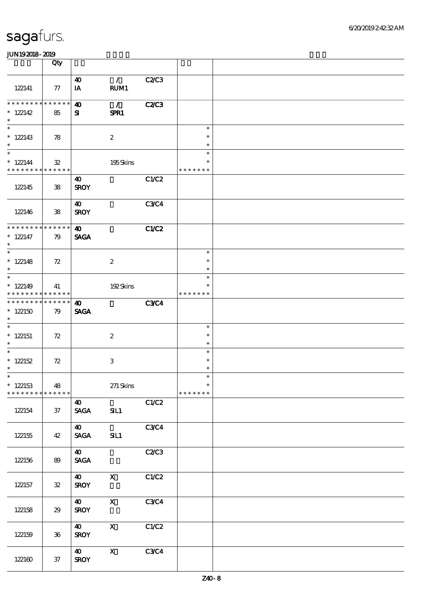|                                                                         | Qty               |                                      |                       |              |                                   |  |
|-------------------------------------------------------------------------|-------------------|--------------------------------------|-----------------------|--------------|-----------------------------------|--|
| 122141                                                                  | 77                | $\boldsymbol{\omega}$<br>IA          | $\mathcal{L}$<br>RUM1 | C2C3         |                                   |  |
| **************<br>$* 122142$<br>$\ast$                                  | 85                | $\boldsymbol{\omega}$<br>${\bf s}$   | $\mathcal{L}$<br>SPR1 | <b>C2/C3</b> |                                   |  |
| $\overline{\phantom{0}}$<br>$*122143$<br>$\ast$                         | 78                |                                      | $\boldsymbol{2}$      |              | $\ast$<br>$\ast$<br>$\ast$        |  |
| $\overline{\phantom{a}^*}$<br>$* 122144$<br>* * * * * * * * * * * * * * | ${\bf 32}$        |                                      | 195Skins              |              | $\ast$<br>$\ast$<br>* * * * * * * |  |
| 122145                                                                  | ${\bf 38}$        | 40<br><b>SROY</b>                    |                       | C1/C2        |                                   |  |
| 122146                                                                  | ${\bf 38}$        | 40<br><b>SROY</b>                    |                       | <b>C3C4</b>  |                                   |  |
| * * * * * * * * * * * * * *<br>$* 122147$<br>$\ast$                     | 79                | $\boldsymbol{\omega}$<br><b>SAGA</b> |                       | C1/C2        |                                   |  |
| $\overline{\ast}$<br>$*122148$<br>$\ast$                                | 72                |                                      | $\boldsymbol{2}$      |              | $\ast$<br>$\ast$<br>$\ast$        |  |
| $\overline{\phantom{0}}$<br>$*122149$<br>* * * * * * * * * * * * * *    | 41                |                                      | 192Skins              |              | $\ast$<br>* * * * * * *           |  |
| * * * * * * * * * * * * * *<br>$*122150$<br>$\ast$                      | 79                | $\boldsymbol{\omega}$<br><b>SAGA</b> |                       | <b>C3C4</b>  |                                   |  |
| $\ast$<br>$*122151$<br>$\ast$                                           | 72                |                                      | $\boldsymbol{2}$      |              | $\ast$<br>$\ast$<br>$\ast$        |  |
| $\ast$<br>$* 122152$<br>$\ast$                                          | $72\,$            |                                      | 3                     |              | $\ast$<br>$\ast$<br>$\ast$        |  |
| $*$<br>$*122153$<br>* * * * * * * *                                     | 48<br>* * * * * * |                                      | $271$ Skins           |              | $\ast$<br>$\ast$<br>* * * * * * * |  |
| 122154                                                                  | 37                | $\boldsymbol{\omega}$<br><b>SAGA</b> | SIL1                  | C1/C2        |                                   |  |
| 122155                                                                  | 42                | 40<br><b>SAGA</b>                    | SL1                   | C3C4         |                                   |  |
| 122156                                                                  | 89                | 40<br><b>SAGA</b>                    |                       | C2C3         |                                   |  |
| 122157                                                                  | ${\bf 3\!2}$      | <b>40</b><br><b>SROY</b>             | $\mathbf{x}$          | C1/C2        |                                   |  |
| 122158                                                                  | 29                | $\boldsymbol{\omega}$<br><b>SROY</b> | $\mathbf X$           | C3C4         |                                   |  |
| 122159                                                                  | $36\,$            | $\boldsymbol{\omega}$<br><b>SROY</b> | $\mathbf{x}$          | C1/C2        |                                   |  |
| $122160$                                                                | $37\,$            | $\boldsymbol{\omega}$<br><b>SROY</b> | $\mathbf X$           | C3C4         |                                   |  |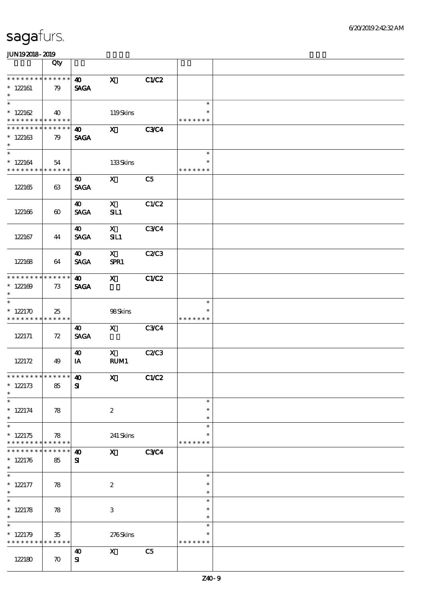|                                                      | Qty                   |                                      |                      |                |                                   |  |
|------------------------------------------------------|-----------------------|--------------------------------------|----------------------|----------------|-----------------------------------|--|
| * * * * * * * * * * * * * *<br>$*122161$<br>$\ast$   | 79                    | $\boldsymbol{\omega}$<br><b>SAGA</b> | $\mathbf x$          | C1/C2          |                                   |  |
| $\overline{\ast}$<br>$* 122162$<br>* * * * * * * *   | 40<br>* * * * * *     |                                      | 119Skins             |                | $\ast$<br>$\ast$<br>* * * * * * * |  |
| * * * * * * *<br>$*122163$<br>$\ast$                 | * * * * * *<br>79     | $\boldsymbol{\omega}$<br><b>SAGA</b> | $\mathbf{x}$         | <b>C3C4</b>    |                                   |  |
| $\ast$<br>$*122164$<br>* * * * * * * *               | 54<br>* * * * * *     |                                      | 133Skins             |                | $\ast$<br>$\ast$<br>* * * * * * * |  |
| 122165                                               | 63                    | 40<br><b>SAGA</b>                    | $\mathbf{X}$         | C5             |                                   |  |
| 122166                                               | $\boldsymbol{\omega}$ | 40<br><b>SAGA</b>                    | $\mathbf{x}$<br>SL1  | C1/C2          |                                   |  |
| 122167                                               | 44                    | $\boldsymbol{\omega}$<br><b>SAGA</b> | $\mathbf{X}$<br>SL1  | <b>C3C4</b>    |                                   |  |
| 122168                                               | 64                    | 40<br><b>SAGA</b>                    | $\mathbf{X}$<br>SPR1 | <b>C2/C3</b>   |                                   |  |
| * * * * * * *<br>$*122169$<br>$\ast$                 | * * * * * *<br>73     | $\boldsymbol{\omega}$<br><b>SAGA</b> | $\mathbf{X}$         | C1/C2          |                                   |  |
| $\ast$<br>$* 122170$<br>* * * * * * * *              | 25<br>* * * * * *     |                                      | 98Skins              |                | $\ast$<br>$\ast$<br>* * * * * * * |  |
| 122171                                               | 72                    | 40<br><b>SAGA</b>                    | $\mathbf X$          | <b>C3C4</b>    |                                   |  |
| 122172                                               | 49                    | 40<br>IA                             | $\mathbf{x}$<br>RUM1 | C2C3           |                                   |  |
| * * * * * * * * * * * * * * *<br>$*122173$<br>$\ast$ | 85                    | $\boldsymbol{\omega}$<br>${\bf s}$   | $\mathbf{x}$         | C1/C2          |                                   |  |
| $\ast$<br>$* 122174$<br>$\ast$                       | 78                    |                                      | $\boldsymbol{2}$     |                | $\ast$<br>$\ast$<br>$\ast$        |  |
| $\ast$<br>$*122175$<br>* * * * * * * * * * * * * *   | 78                    |                                      | 241 Skins            |                | $\ast$<br>* * * * * * *           |  |
| * * * * * * *<br>$* 122176$<br>$\ast$                | * * * * * *<br>85     | $\boldsymbol{\omega}$<br>${\bf s}$   | $\mathbf{x}$         | <b>C3C4</b>    |                                   |  |
| $\ast$<br>$* 122177$<br>$\ast$                       | 78                    |                                      | $\boldsymbol{2}$     |                | $\ast$<br>$\ast$<br>$\ast$        |  |
| $\ast$<br>$* 122178$<br>$\ast$                       | 78                    |                                      | $\,3\,$              |                | $\ast$<br>$\ast$<br>$\ast$        |  |
| $\ast$<br>$* 122179$<br>* * * * * * * *              | $35\,$<br>* * * * * * |                                      | 276Skins             |                | $\ast$<br>$\ast$<br>* * * * * * * |  |
| 122180                                               | $\boldsymbol{\pi}$    | 40<br>${\bf s}$                      | $\mathbf{x}$         | C <sub>5</sub> |                                   |  |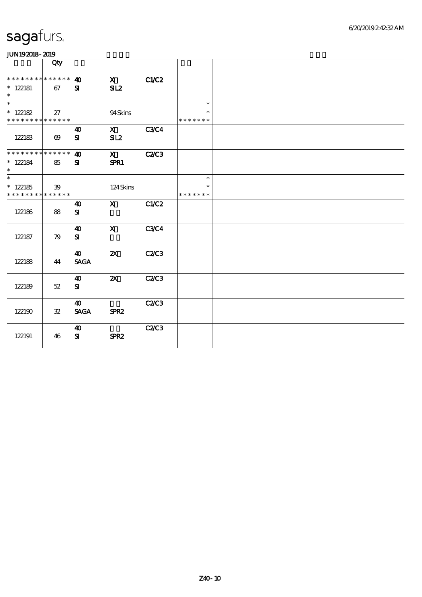| .                           |                       |                              |                           |              |               |  |
|-----------------------------|-----------------------|------------------------------|---------------------------|--------------|---------------|--|
|                             | Qty                   |                              |                           |              |               |  |
| * * * * * * * * * * * * * * |                       | $\boldsymbol{\omega}$        | $\mathbf x$               | <b>C1/C2</b> |               |  |
| $*$ 122181<br>$\ast$        | 67                    | ${\bf s}$                    | SL2                       |              |               |  |
| $\overline{\ast}$           |                       |                              |                           |              | $\ast$        |  |
| $*122182$                   | 27                    |                              | 94Skins                   |              | $\ast$        |  |
| * * * * * * * * * * * * * * |                       |                              |                           |              | * * * * * * * |  |
|                             |                       | $\boldsymbol{\omega}$        | $\mathbf{x}$              | <b>C3C4</b>  |               |  |
| 122183                      | $\boldsymbol{\omega}$ | ${\bf s}$                    | SL2                       |              |               |  |
|                             |                       |                              |                           |              |               |  |
| ********                    | * * * * * *           | $\boldsymbol{\omega}$        | $\mathbf{X}$              | <b>C2/C3</b> |               |  |
| $* 122184$                  | 85                    | ${\bf s}$                    | SPR1                      |              |               |  |
| $\ast$                      |                       |                              |                           |              |               |  |
| $\overline{\ast}$           |                       |                              |                           |              | $\ast$        |  |
| $*122185$                   | 39                    |                              | 124Skins                  |              | $\ast$        |  |
| * * * * * * * * * * * * * * |                       |                              |                           |              | * * * * * * * |  |
|                             |                       | $\boldsymbol{\omega}$        | $\mathbf{x}$              | C1/C2        |               |  |
| 122186                      | 88                    | ${\bf s}$                    |                           |              |               |  |
|                             |                       |                              |                           |              |               |  |
|                             |                       | $\boldsymbol{\omega}$        | $\mathbf{x}$              | <b>C3C4</b>  |               |  |
| 122187                      | 79                    | ${\bf s}$                    |                           |              |               |  |
|                             |                       |                              |                           |              |               |  |
|                             |                       | 40                           | $\boldsymbol{\mathsf{z}}$ | C2C3         |               |  |
| 122188                      | 44                    | $\ensuremath{\mathsf{SAGA}}$ |                           |              |               |  |
|                             |                       |                              |                           |              |               |  |
|                             |                       | 40                           | $\boldsymbol{\mathsf{Z}}$ | C2/C3        |               |  |
| 122189                      | 52                    | ${\bf s}$                    |                           |              |               |  |
|                             |                       |                              |                           |              |               |  |
|                             |                       | $\boldsymbol{\omega}$        |                           | C2C3         |               |  |
| 122190                      | ${\bf 32}$            | <b>SAGA</b>                  | SPR <sub>2</sub>          |              |               |  |
|                             |                       |                              |                           |              |               |  |
|                             |                       | $\boldsymbol{\omega}$        |                           | C2C3         |               |  |
| 122191                      | 46                    | ${\bf s}$                    | SPR <sub>2</sub>          |              |               |  |
|                             |                       |                              |                           |              |               |  |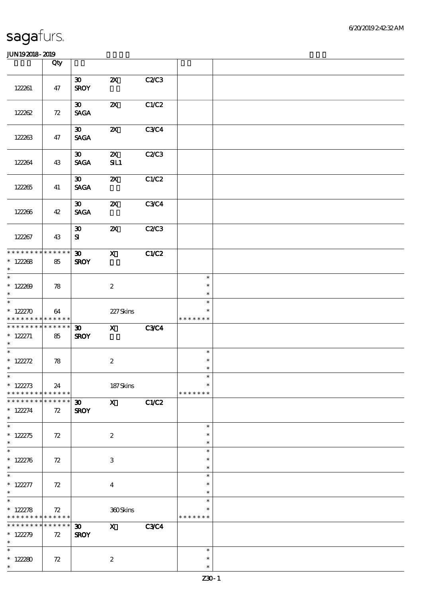|                                                           | Qty                              |                                            |                                  |             |                                   |  |
|-----------------------------------------------------------|----------------------------------|--------------------------------------------|----------------------------------|-------------|-----------------------------------|--|
| 122261                                                    | 47                               | $\boldsymbol{\mathfrak{D}}$<br><b>SROY</b> | $\boldsymbol{\mathsf{Z}}$        | C2C3        |                                   |  |
| 122262                                                    | 72                               | $\boldsymbol{\mathfrak{D}}$<br><b>SAGA</b> | $\boldsymbol{\mathsf{X}}$        | C1/C2       |                                   |  |
| 122263                                                    | 47                               | $\boldsymbol{\mathfrak{D}}$<br><b>SAGA</b> | $\boldsymbol{\mathsf{z}}$        | <b>C3C4</b> |                                   |  |
| 122264                                                    | 43                               | $\boldsymbol{\mathfrak{D}}$<br><b>SAGA</b> | $\boldsymbol{\mathsf{Z}}$<br>SL1 | C2C3        |                                   |  |
| 122265                                                    | 41                               | $\boldsymbol{\mathfrak{D}}$<br><b>SAGA</b> | $\boldsymbol{\mathsf{X}}$        | C1/C2       |                                   |  |
| 122266                                                    | 42                               | $\boldsymbol{\mathfrak{D}}$<br><b>SAGA</b> | $\boldsymbol{\mathsf{z}}$        | <b>C3C4</b> |                                   |  |
| 122267                                                    | 43                               | $\boldsymbol{\mathfrak{D}}$<br>${\bf s}$   | $\boldsymbol{\mathsf{Z}}$        | C2C3        |                                   |  |
| * * * * * * * * * * * * * *<br>$* 122268$<br>$\ast$       | 85                               | $\boldsymbol{\mathfrak{D}}$<br><b>SROY</b> | $\mathbf{x}$                     | C1/C2       |                                   |  |
| $* 122200$<br>$\ast$                                      | 78                               |                                            | $\boldsymbol{2}$                 |             | $\ast$<br>$\ast$<br>$\ast$        |  |
| $\overline{\phantom{0}}$<br>$* 122270$<br>* * * * * * * * | 64<br>* * * * * *                |                                            | 227Skins                         |             | $\ast$<br>$\ast$<br>* * * * * * * |  |
| * * * * * * * *<br>$* 122271$<br>$\ast$                   | $\ast\ast\ast\ast\ast\ast$<br>85 | $\boldsymbol{\mathfrak{D}}$<br><b>SROY</b> | $\mathbf{x}$                     | <b>C3C4</b> |                                   |  |
| * $122272$<br>$\ast$                                      | 78                               |                                            | $\boldsymbol{2}$                 |             | $\ast$<br>$\ast$<br>$\ast$        |  |
| $*$<br>$* 122273$<br>* * * * * * * *                      | 24<br>$* * * * * * *$            |                                            | $187$ Skins                      |             | $\ast$<br>$\ast$<br>* * * * * * * |  |
| * * * * * * *<br>$* 122274$<br>$\ast$                     | * * * * * *<br>72                | $\boldsymbol{\mathfrak{D}}$<br><b>SROY</b> | $\mathbf{x}$                     | C1/C2       |                                   |  |
| $\overline{\ast}$<br>$* 122275$<br>$\ast$                 | 72                               |                                            | $\boldsymbol{2}$                 |             | $\ast$<br>∗<br>$\ast$             |  |
| $\overline{\ast}$<br>$* 122276$<br>$\ast$                 | 72                               |                                            | $\,3$                            |             | $\ast$<br>$\ast$<br>$\ast$        |  |
| $\ast$<br>$* 122277$<br>$\ast$                            | 72                               |                                            | $\boldsymbol{4}$                 |             | $\ast$<br>$\ast$<br>$\ast$        |  |
| $\overline{\ast}$<br>$* 122278$<br>* * * * * * * *        | 72<br>$* * * * * * *$            |                                            | 360Skins                         |             | $\ast$<br>* * * * * * *           |  |
| * * * * * * *<br>$* 122279$<br>$\ast$                     | * * * * * *<br>72                | $\boldsymbol{\mathfrak{D}}$<br><b>SROY</b> | $\mathbf{x}$                     | <b>C3C4</b> |                                   |  |
| $\ast$<br>$*122280$<br>$\ast$                             | 72                               |                                            | $\boldsymbol{2}$                 |             | $\ast$<br>$\ast$<br>$\ast$        |  |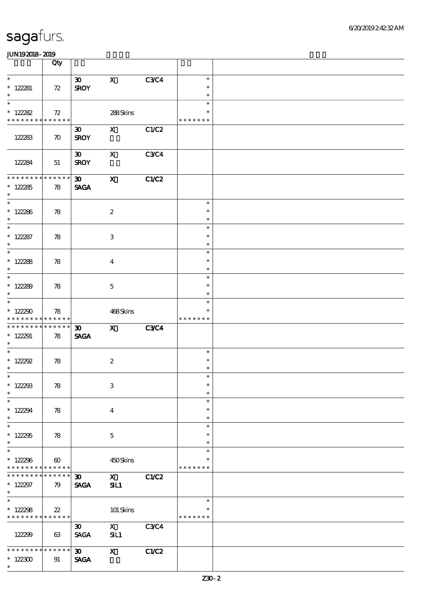|                                                                   | Qty                   |                                            |                           |              |                                   |  |
|-------------------------------------------------------------------|-----------------------|--------------------------------------------|---------------------------|--------------|-----------------------------------|--|
| $\ast$<br>$* 122281$<br>$\ast$                                    | 72                    | $30 -$<br><b>SROY</b>                      | $\mathbf{X}$              | <b>C3C4</b>  | $\ast$<br>$\ast$<br>$\ast$        |  |
| $\ast$<br>$* 122282$<br>* * * * * * * * <mark>* * * * * *</mark>  | 72                    |                                            | 288Skins                  |              | $\ast$<br>$\ast$<br>* * * * * * * |  |
| 122283                                                            | $\boldsymbol{\pi}$    | $\boldsymbol{\mathfrak{D}}$<br><b>SROY</b> | $\mathbf{X}$              | C1/C2        |                                   |  |
| 122284                                                            | 51                    | $\boldsymbol{\mathfrak{D}}$<br><b>SROY</b> | $\mathbf{x}$              | <b>C3C4</b>  |                                   |  |
| * * * * * * * * * * * * * * *<br>$* 122285$<br>$\ast$             | 78                    | $\infty$ and $\infty$<br><b>SAGA</b>       | $\mathbf{x}$              | C1/C2        |                                   |  |
| $*$<br>$* 122286$<br>$\ast$                                       | 78                    |                                            | $\boldsymbol{2}$          |              | $\ast$<br>$\ast$<br>$\ast$        |  |
| $\ast$<br>$* 122287$<br>$\ast$                                    | 78                    |                                            | 3                         |              | $\ast$<br>$\ast$<br>$\ast$        |  |
| $\overline{\phantom{0}}$<br>$* 122288$<br>$\ast$                  | 78                    |                                            | $\overline{4}$            |              | $\ast$<br>$\ast$<br>$\ast$        |  |
| $\overline{\ast}$<br>$*122289$<br>$\ast$                          | 78                    |                                            | $\mathbf{5}$              |              | $\ast$<br>$\ast$<br>$\ast$        |  |
| $\ast$<br>$*122290$<br>* * * * * * * * <mark>* * * * * * *</mark> | 78                    |                                            | 468Skins                  |              | $\ast$<br>$\ast$<br>* * * * * * * |  |
| ******** <mark>*******</mark><br>$*$ 122291<br>$*$                | 78                    | $\boldsymbol{\mathfrak{D}}$<br><b>SAGA</b> | X C3C4                    |              |                                   |  |
| $\ast$<br>* $122292$<br>$\ast$                                    | 78                    |                                            | $\boldsymbol{2}$          |              | $\ast$<br>$\ast$<br>$\ast$        |  |
| $*$<br>$*122293$<br>$\ast$                                        | 78                    |                                            | $\,3$                     |              | $\ast$<br>$\ast$<br>$\ast$        |  |
| $\ast$<br>$*122294$<br>$\ast$                                     | 78                    |                                            | $\overline{4}$            |              | $\ast$<br>$\ast$<br>$\ast$        |  |
| $\ast$<br>$*122255$<br>$\ast$                                     | 78                    |                                            | $\mathbf{5}$              |              | $\ast$<br>$\ast$<br>$\ast$        |  |
| $\ast$<br>$*122296$<br>* * * * * * * * <mark>* * * * * *</mark> * | $\boldsymbol{\omega}$ |                                            | 450Skins                  |              | $\ast$<br>$\ast$<br>* * * * * * * |  |
| * * * * * * *<br>$*122297$<br>$\ast$                              | * * * * * *<br>79     | $\boldsymbol{\mathfrak{D}}$<br><b>SAGA</b> | $\mathbf{x}$<br>SL1       | <b>C1/C2</b> |                                   |  |
| $\overline{\ast}$<br>$*122298$<br>* * * * * * * * * * * * * *     | $22\,$                |                                            | 101 Skins                 |              | $\ast$<br>∗<br>* * * * * * *      |  |
| 122299                                                            | 63                    | $\boldsymbol{\mathfrak{D}}$<br><b>SAGA</b> | $\mathbf{X}$<br>SL1       | C3C4         |                                   |  |
| * * * * * * * *<br>$*122300$                                      | * * * * * *<br>91     | $\infty$<br><b>SAGA</b>                    | $\boldsymbol{\mathsf{X}}$ | C1/C2        |                                   |  |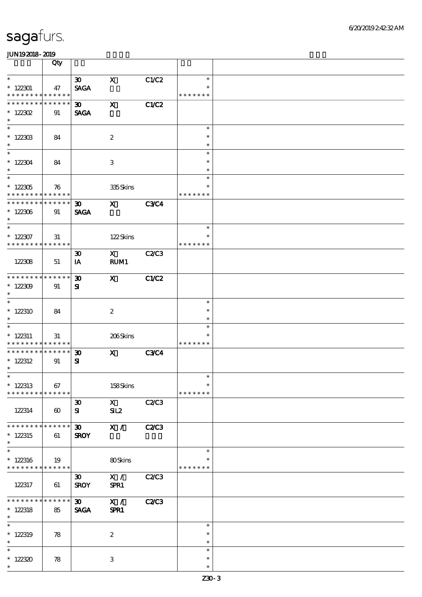|                                          | Qty                   |                                |                           |              |                  |  |
|------------------------------------------|-----------------------|--------------------------------|---------------------------|--------------|------------------|--|
| $\ast$                                   |                       | 30 <sub>o</sub>                | $\mathbf{x}$              | C1/C2        | $\ast$           |  |
| $*122301$                                | 47                    | <b>SAGA</b>                    |                           |              | $\ast$           |  |
| * * * * * * * * * * * * * *              |                       |                                |                           |              | * * * * * * *    |  |
| * * * * * * * * <mark>* * * * * *</mark> |                       | $30-1$                         | $\boldsymbol{\mathrm{X}}$ | C1/C2        |                  |  |
| $* 122302$                               | 91                    | <b>SAGA</b>                    |                           |              |                  |  |
| $\ast$                                   |                       |                                |                           |              |                  |  |
|                                          |                       |                                |                           |              | $\ast$           |  |
| $* 122303$<br>$\ast$                     | 84                    |                                | $\boldsymbol{2}$          |              | $\ast$<br>$\ast$ |  |
| $\overline{\ast}$                        |                       |                                |                           |              | $\ast$           |  |
| $*122304$                                | 84                    |                                | $\,3$                     |              | $\ast$           |  |
| $\ast$                                   |                       |                                |                           |              | $\ast$           |  |
| $\overline{\phantom{0}}$                 |                       |                                |                           |              | $\ast$           |  |
| $^\ast$ 122305                           | 76                    |                                | 335Skins                  |              | $\ast$           |  |
| * * * * * * * * * * * * * *              |                       |                                |                           |              | * * * * * * *    |  |
| * * * * * * * * * * * * * *              |                       | $\boldsymbol{\mathfrak{D}}$    | $\mathbf{x}$              | <b>C3C4</b>  |                  |  |
| $*122306$<br>$\ast$                      | 91                    | <b>SAGA</b>                    |                           |              |                  |  |
| $\ast$                                   |                       |                                |                           |              | $\ast$           |  |
| $*122307$                                | 31                    |                                | 122Skins                  |              | $\ast$           |  |
| * * * * * * * * * * * * * *              |                       |                                |                           |              | * * * * * * *    |  |
|                                          |                       | $\boldsymbol{\mathfrak{D}}$    | $\mathbf X$               | <b>C2/C3</b> |                  |  |
| 122308                                   | 51                    | IA                             | RUM1                      |              |                  |  |
|                                          |                       |                                |                           |              |                  |  |
| * * * * * * * * * * * * * *              |                       | $\boldsymbol{\mathfrak{D}}$    | $\mathbf{x}$              | C1/C2        |                  |  |
| $*122309$<br>$\ast$                      | 91                    | ${\bf s}$                      |                           |              |                  |  |
| $\overline{\ast}$                        |                       |                                |                           |              | $\ast$           |  |
| $*122310$                                | 84                    |                                | $\boldsymbol{2}$          |              | $\ast$           |  |
| $\ast$                                   |                       |                                |                           |              | $\ast$           |  |
| $\ast$                                   |                       |                                |                           |              | $\ast$           |  |
| $*$ 122311                               | 31                    |                                | 206Skins                  |              | $\ast$           |  |
| * * * * * * * * <mark>* * * * * *</mark> |                       |                                |                           |              | * * * * * * *    |  |
| **************                           |                       | $\boldsymbol{\mathfrak{D}}$    | $\mathbf{x}$              | <b>C3C4</b>  |                  |  |
| $*$ 122312<br>$\ast$                     | 91                    | ${\bf s}$                      |                           |              |                  |  |
| $*$                                      |                       |                                |                           |              | $\ast$           |  |
| $*$ 122313                               | 67                    |                                | 158Skins                  |              | $\ast$           |  |
| * * * * * * * * * * * * * *              |                       |                                |                           |              | * * * * * * *    |  |
|                                          |                       | $\boldsymbol{\mathfrak{D}}$    | $\mathbf{x}$              | C2C3         |                  |  |
| 122314                                   | $\boldsymbol{\omega}$ | ${\bf s}$                      | SL2                       |              |                  |  |
|                                          |                       |                                |                           |              |                  |  |
| * * * * * * * *                          | * * * * * *           | $\boldsymbol{\mathfrak{D}}$    | X /                       | <b>C2/C3</b> |                  |  |
| $*122315$<br>$\ast$                      | 61                    | <b>SROY</b>                    |                           |              |                  |  |
| $\ast$                                   |                       |                                |                           |              | $\ast$           |  |
| $*122316$                                | 19                    |                                | 80Skins                   |              | $\ast$           |  |
| * * * * * * * * <mark>* * * * * *</mark> |                       |                                |                           |              | * * * * * * *    |  |
|                                          |                       | $\boldsymbol{\mathfrak{D}}$    | X /                       | C2/C3        |                  |  |
| 122317                                   | 61                    | <b>SROY</b>                    | SPR1                      |              |                  |  |
| * * * * * * * *                          | * * * * * *           |                                |                           |              |                  |  |
| $* 122318$                               | 85                    | 30 <sub>o</sub><br><b>SAGA</b> | X /<br>SPR1               | C2C3         |                  |  |
| $\ast$                                   |                       |                                |                           |              |                  |  |
| $\ast$                                   |                       |                                |                           |              | $\ast$           |  |
| $*$ 122319                               | 78                    |                                | $\boldsymbol{2}$          |              | $\ast$           |  |
| $\ast$                                   |                       |                                |                           |              | $\ast$           |  |
| $\ast$                                   |                       |                                |                           |              | $\ast$           |  |
| $*122320$                                | 78                    |                                | 3                         |              | $\ast$           |  |
| $\ast$                                   |                       |                                |                           |              | $\ast$           |  |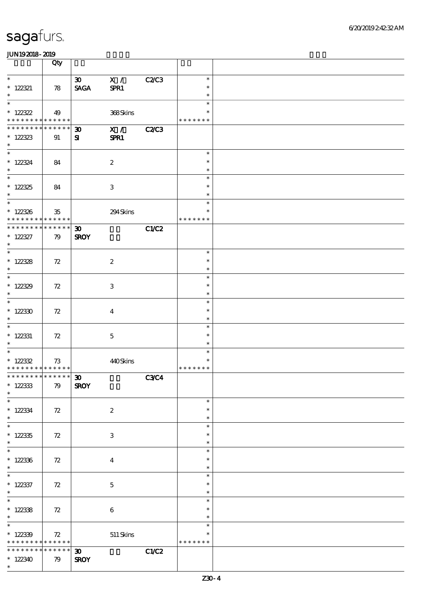|                                            | Qty                   |                             |                           |              |                         |  |
|--------------------------------------------|-----------------------|-----------------------------|---------------------------|--------------|-------------------------|--|
| $\ast$                                     |                       | $\infty$                    | X /                       | <b>C2/C3</b> | $\ast$                  |  |
| $* 122321$                                 | 78                    | <b>SAGA</b>                 | SPR1                      |              | $\ast$                  |  |
| $\ast$                                     |                       |                             |                           |              | $\ast$                  |  |
| $\ast$                                     |                       |                             |                           |              | $\ast$                  |  |
| $*122322$                                  | 49                    |                             | 368Skins                  |              | $\ast$                  |  |
| * * * * * * * * <mark>* * * * * * *</mark> |                       |                             |                           |              | * * * * * * *           |  |
| * * * * * * * *                            | * * * * * *           | 30 <sub>o</sub>             | $\overline{\mathbf{x}}$ / | <b>C2/C3</b> |                         |  |
| $* 122323$                                 | 91                    | ${\bf s}$                   | SPR1                      |              |                         |  |
| $\ast$                                     |                       |                             |                           |              |                         |  |
| $*$                                        |                       |                             |                           |              | $\ast$                  |  |
| $*122324$                                  | 84                    |                             | $\boldsymbol{2}$          |              | $\ast$                  |  |
| $\ast$                                     |                       |                             |                           |              | $\ast$                  |  |
| $\overline{\ast}$                          |                       |                             |                           |              | $\ast$                  |  |
| $*122325$                                  | 84                    |                             | $\ensuremath{\mathbf{3}}$ |              | $\ast$                  |  |
| $\ast$<br>$\overline{\phantom{0}}$         |                       |                             |                           |              | $\ast$                  |  |
|                                            |                       |                             |                           |              | $\ast$                  |  |
| $* 122336$<br>* * * * * * * *              | $35\,$<br>* * * * * * |                             | 294Skins                  |              | $\ast$                  |  |
| * * * * * * * *                            | * * * * * *           |                             |                           |              | * * * * * * *           |  |
|                                            |                       | $\boldsymbol{\mathfrak{D}}$ |                           | C1/C2        |                         |  |
| $* 122327$<br>$\ast$                       | 79                    | <b>SROY</b>                 |                           |              |                         |  |
| $\overline{\ast}$                          |                       |                             |                           |              | $\ast$                  |  |
| $* 122328$                                 | 72                    |                             | $\boldsymbol{2}$          |              | $\ast$                  |  |
| $\ast$                                     |                       |                             |                           |              | $\ast$                  |  |
| $\overline{\phantom{0}}$                   |                       |                             |                           |              | $\ast$                  |  |
| $*122329$                                  | 72                    |                             | $\ensuremath{\mathsf{3}}$ |              | $\ast$                  |  |
| $\ast$                                     |                       |                             |                           |              | $\ast$                  |  |
| $\overline{\ast}$                          |                       |                             |                           |              | $\ast$                  |  |
| $*122330$                                  | 72                    |                             | $\boldsymbol{4}$          |              | $\ast$                  |  |
| $\ast$                                     |                       |                             |                           |              | $\ast$                  |  |
| $\overline{\ast}$                          |                       |                             |                           |              | $\ast$                  |  |
| $*$ 122331                                 | 72                    |                             | $\mathbf{5}$              |              | $\ast$                  |  |
| $\ast$                                     |                       |                             |                           |              | $\ast$                  |  |
| $\overline{\phantom{0}}$                   |                       |                             |                           |              | $\ast$                  |  |
| $* 122332$                                 | 73                    |                             | 440Skins                  |              | $\ast$<br>* * * * * * * |  |
| * * * * * * * * * * * * * * *              |                       |                             |                           |              |                         |  |
| ************** 30<br>$* 122333$            |                       |                             |                           | C3C4         |                         |  |
| $\ast$                                     | 79                    | <b>SROY</b>                 |                           |              |                         |  |
| $\ast$                                     |                       |                             |                           |              | $\ast$                  |  |
| $* 122334$                                 | 72                    |                             | $\boldsymbol{2}$          |              | $\ast$                  |  |
| $\ast$                                     |                       |                             |                           |              | $\ast$                  |  |
| $\ast$                                     |                       |                             |                           |              | $\ast$                  |  |
| $* 122335$                                 | 72                    |                             | $\ensuremath{\mathsf{3}}$ |              | $\ast$                  |  |
| $\ast$                                     |                       |                             |                           |              | $\ast$                  |  |
| $\overline{\ast}$                          |                       |                             |                           |              | $\ast$                  |  |
| $*122336$                                  | 72                    |                             | $\boldsymbol{4}$          |              | $\ast$                  |  |
| $\ast$                                     |                       |                             |                           |              | $\ast$                  |  |
| $\ast$                                     |                       |                             |                           |              | $\ast$                  |  |
| $*$ 122337                                 | 72                    |                             | $\mathbf 5$               |              | $\ast$                  |  |
| $\ast$<br>$\overline{\ast}$                |                       |                             |                           |              | $\ast$                  |  |
|                                            |                       |                             |                           |              | $\ast$                  |  |
| $*122338$<br>$\ast$                        | 72                    |                             | $\,6\,$                   |              | $\ast$<br>$\ast$        |  |
| $\overline{\phantom{0}}$                   |                       |                             |                           |              | $\ast$                  |  |
| $*122339$                                  | $72\,$                |                             | $511\,$ Skins             |              | *                       |  |
| * * * * * * * * <mark>* * * * * *</mark>   |                       |                             |                           |              | * * * * * * *           |  |
| * * * * * * * *                            | * * * * * *           | $\boldsymbol{\mathfrak{D}}$ |                           | C1/C2        |                         |  |
| $*122340$                                  | 79                    | <b>SROY</b>                 |                           |              |                         |  |
| $\ast$                                     |                       |                             |                           |              |                         |  |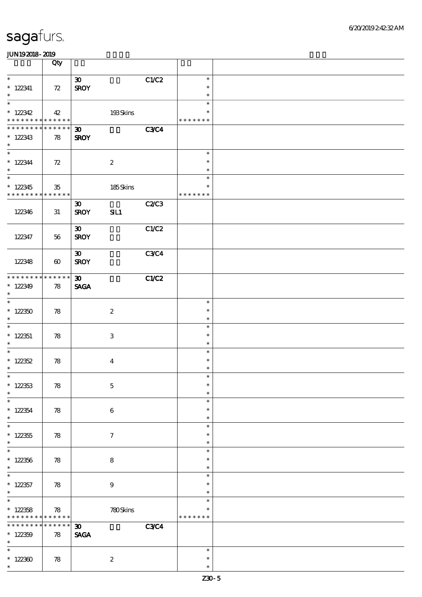|                                                                   | Qty                   |                                                   |             |                                      |  |
|-------------------------------------------------------------------|-----------------------|---------------------------------------------------|-------------|--------------------------------------|--|
| $\ast$<br>$*122341$<br>$\ast$                                     | 72                    | $\boldsymbol{\mathfrak{D}}$<br><b>SROY</b>        | C1/C2       | $\ast$<br>$\ast$<br>$\ast$           |  |
| $\ast$<br>$*122342$<br>* * * * * * * * <mark>* * * * * * *</mark> | 42                    | 193Skins                                          |             | $\ast$<br>$\ast$<br>* * * * * * *    |  |
| * * * * * * * * * * * * * *<br>$*122343$<br>$\ast$                | 78                    | $\boldsymbol{\mathfrak{D}}$<br><b>SROY</b>        | <b>C3C4</b> |                                      |  |
| $\overline{\ast}$<br>$*122344$<br>$\ast$<br>$_{\ast}^{-}$         | 72                    | $\boldsymbol{2}$                                  |             | $\ast$<br>$\ast$<br>$\ast$           |  |
| $*122345$<br>* * * * * * * * * * * * * *                          | 35                    | 185Skins                                          |             | $\ast$<br>$\ast$<br>* * * * * * *    |  |
| 122346                                                            | 31                    | $\boldsymbol{\mathfrak{D}}$<br><b>SROY</b><br>SL1 | C2C3        |                                      |  |
| 122347                                                            | 56                    | $\boldsymbol{\mathfrak{D}}$<br><b>SROY</b>        | C1/C2       |                                      |  |
| 122348                                                            | $\boldsymbol{\omega}$ | $\boldsymbol{\mathfrak{D}}$<br><b>SROY</b>        | <b>C3C4</b> |                                      |  |
| * * * * * * * * * * * * * *<br>$*122349$<br>$\ast$                | 78                    | 30 <sub>o</sub><br><b>SAGA</b>                    | C1/C2       |                                      |  |
| $\overline{\ast}$<br>$*122350$<br>$\ast$                          | 78                    | $\boldsymbol{z}$                                  |             | $\ast$<br>$\ast$<br>$\ast$           |  |
| $\ast$<br>$*$ 122351<br>$\ast$                                    | 78                    | 3                                                 |             | $\ast$<br>$\ast$<br>$\ast$           |  |
| $\ast$<br>$*122352$<br>$\ast$                                     | 78                    | $\boldsymbol{4}$                                  |             | $\ast$<br>$\ast$<br>$\ast$           |  |
| $\ast$<br>$*122353$<br>$\ast$<br>$\ast$                           | 78                    | $\mathbf 5$                                       |             | $\ast$<br>$\ast$<br>$\ast$           |  |
| $* 122354$<br>$\ast$<br>$\ast$                                    | 78                    | $\boldsymbol{6}$                                  |             | $\ast$<br>$\ast$<br>$\ast$<br>$\ast$ |  |
| $*122355$<br>$\ast$<br>$\ast$                                     | 78                    | $\tau$                                            |             | $\ast$<br>$\ast$<br>$\ast$           |  |
| $*122356$<br>$\ast$<br>$\ast$                                     | 78                    | $\bf8$                                            |             | $\ast$<br>$\ast$<br>$\ast$           |  |
| $*$ 122357<br>$\ast$<br>$\ast$                                    | 78                    | $\boldsymbol{9}$                                  |             | $\ast$<br>$\ast$<br>$\ast$           |  |
| $*122358$<br>* * * * * * * * * * * * * *                          | 78                    | 780Skins                                          |             | $\ast$<br>* * * * * * *              |  |
| * * * * * * *<br>$*122359$<br>$\ast$                              | * * * * * *<br>78     | $\boldsymbol{\mathfrak{D}}$<br><b>SAGA</b>        | <b>C3C4</b> |                                      |  |
| $\ast$<br>$*122300$<br>$\ast$                                     | 78                    | $\boldsymbol{2}$                                  |             | $\ast$<br>$\ast$<br>$\ast$           |  |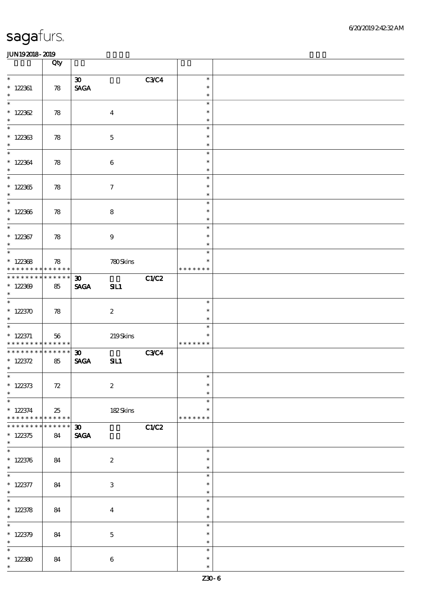|                                                                                      | Qty                   |                                                               |             |                                   |  |
|--------------------------------------------------------------------------------------|-----------------------|---------------------------------------------------------------|-------------|-----------------------------------|--|
| $\ast$<br>$*122361$<br>$\ast$                                                        | $78$                  | $\boldsymbol{\mathfrak{D}}$<br>$\operatorname{\mathsf{SAGA}}$ | <b>C3C4</b> | $\ast$<br>$\ast$<br>$\ast$        |  |
| $\ast$<br>$*122362$<br>$\ast$                                                        | 78                    | $\boldsymbol{4}$                                              |             | $\ast$<br>$\ast$<br>$\ast$        |  |
| $\overline{\ast}$<br>$*122363$<br>$\ast$                                             | 78                    | $\mathbf 5$                                                   |             | $\ast$<br>$\ast$<br>$\ast$        |  |
| $\ast$<br>$*122364$<br>$\ast$                                                        | 78                    | $\bf 6$                                                       |             | $\ast$<br>$\ast$<br>$\ast$        |  |
| $_{*}^{-}$<br>$*122365$<br>$\ast$                                                    | 78                    | $\boldsymbol{7}$                                              |             | $\ast$<br>$\ast$<br>$\ast$        |  |
| $*122366$<br>$\ast$                                                                  | 78                    | ${\bf 8}$                                                     |             | $\ast$<br>$\ast$<br>$\ast$        |  |
| $\overline{\ast}$<br>$*$ 122367<br>$\ast$                                            | 78                    | $9\,$                                                         |             | $\ast$<br>$\ast$<br>$\ast$        |  |
| $\overline{\phantom{a}^*}$<br>$*122368$<br>* * * * * * * *                           | 78<br>* * * * * *     | 780Skins                                                      |             | $\ast$<br>$\ast$<br>* * * * * * * |  |
| * * * * * * * *<br>$*122309$<br>$\ast$                                               | $* * * * * * *$<br>85 | $\boldsymbol{\mathfrak{D}}$<br><b>SAGA</b><br>SL1             | C1/C2       |                                   |  |
| $\overline{\ast}$<br>$*122370$<br>$\ast$                                             | 78                    | $\boldsymbol{z}$                                              |             | $\ast$<br>$\ast$<br>$\ast$        |  |
| $\overline{\phantom{0}}$<br>$* 122371$<br>* * * * * * * * <mark>* * * * * * *</mark> | 56                    | 219Skins                                                      |             | $\ast$<br>$\ast$<br>* * * * * * * |  |
| * * * * * * * * * * * * * *<br>$* 122372$<br>$\ast$                                  | 85                    | $\boldsymbol{\mathfrak{D}}$<br><b>SAGA</b><br>SL1             | <b>C3C4</b> |                                   |  |
| $*$<br>$* 122373$<br>$\ast$                                                          | $72\,$                | $\boldsymbol{2}$                                              |             | $\ast$<br>$\ast$<br>$\ast$        |  |
| $\ast$<br>$*122374$<br>* * * * * * * *                                               | 25<br>* * * * * *     | 182Skins                                                      |             | $\ast$<br>$\ast$<br>* * * * * * * |  |
| * * * * * * *<br>$*122375$<br>$\ast$                                                 | * * * * * *<br>84     | $\boldsymbol{\mathfrak{D}}$<br><b>SAGA</b>                    | C1/C2       |                                   |  |
| $\ast$<br>$* 122376$<br>$\ast$                                                       | 84                    | $\boldsymbol{2}$                                              |             | $\ast$<br>$\ast$<br>$\ast$        |  |
| $\overline{\phantom{0}}$<br>$* 122377$<br>$\ast$                                     | 84                    | $\ensuremath{\mathbf{3}}$                                     |             | $\ast$<br>$\ast$<br>$\ast$        |  |
| $\overline{\ast}$<br>* $122378$<br>$\ast$                                            | 84                    | $\boldsymbol{4}$                                              |             | $\ast$<br>$\ast$<br>$\ast$        |  |
| $\ast$<br>$* 122379$<br>$\ast$                                                       | 84                    | $\mathbf 5$                                                   |             | $\ast$<br>$\ast$<br>$\ast$        |  |
| $\ast$<br>$*122380$<br>$\ast$                                                        | 84                    | $\boldsymbol{6}$                                              |             | $\ast$<br>$\ast$<br>$\ast$        |  |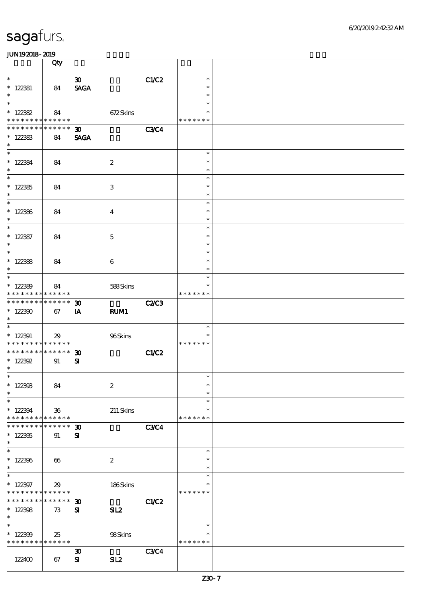|                                                                             | Qty             |                                                 |              |                         |  |
|-----------------------------------------------------------------------------|-----------------|-------------------------------------------------|--------------|-------------------------|--|
| $\ast$                                                                      |                 | 30 <sub>o</sub>                                 | C1/C2        | $\ast$                  |  |
| $*$ 122381                                                                  | 84              | <b>SAGA</b>                                     |              | $\ast$                  |  |
| $\ast$                                                                      |                 |                                                 |              | $\ast$                  |  |
| $\ast$                                                                      |                 |                                                 |              | $\ast$                  |  |
| $* 122382$<br>* * * * * * * * <mark>* * * * * *</mark>                      | 84              | 672Skins                                        |              | $\ast$<br>* * * * * * * |  |
| * * * * * * *                                                               | ******          | $\boldsymbol{\mathfrak{D}}$                     | <b>C3C4</b>  |                         |  |
| $*122383$                                                                   | 84              | <b>SAGA</b>                                     |              |                         |  |
| $\ast$                                                                      |                 |                                                 |              |                         |  |
| $\overline{\ast}$                                                           |                 |                                                 |              | $\ast$                  |  |
| $* 122384$                                                                  | 84              | $\boldsymbol{2}$                                |              | $\ast$                  |  |
| $\ast$<br>$\overline{\ast}$                                                 |                 |                                                 |              | $\ast$<br>$\ast$        |  |
| $*122385$                                                                   |                 | $\,3\,$                                         |              | $\ast$                  |  |
| $\ast$                                                                      | 84              |                                                 |              | $\ast$                  |  |
|                                                                             |                 |                                                 |              | $\ast$                  |  |
| $*122386$                                                                   | 84              | $\overline{\mathbf{4}}$                         |              | $\ast$                  |  |
| $\ast$                                                                      |                 |                                                 |              | $\ast$                  |  |
| $\ast$                                                                      |                 |                                                 |              | $\ast$<br>$\ast$        |  |
| $* 122387$<br>$\ast$                                                        | 84              | $\mathbf 5$                                     |              | $\ast$                  |  |
| $\overline{\phantom{0}}$                                                    |                 |                                                 |              | $\ast$                  |  |
| $* 122388$                                                                  | 84              | 6                                               |              | $\ast$                  |  |
| $\ast$                                                                      |                 |                                                 |              | $\ast$                  |  |
| $\ast$                                                                      |                 |                                                 |              | $\ast$                  |  |
| $*122389$<br>* * * * * * * * * * * * * *                                    | 84              | 588Skins                                        |              | ∗<br>* * * * * * *      |  |
| * * * * * * * *                                                             | $* * * * * * *$ | $\boldsymbol{\mathfrak{D}}$                     | <b>C2/C3</b> |                         |  |
| $*122300$                                                                   | 67              | IA<br>RUM1                                      |              |                         |  |
| $\ast$                                                                      |                 |                                                 |              |                         |  |
| $\overline{\phantom{0}}$                                                    |                 |                                                 |              | $\ast$                  |  |
| $* 122391$                                                                  | 29              | 96Skins                                         |              | $\ast$                  |  |
| * * * * * * * * <mark>* * * * * * *</mark><br>* * * * * * * * * * * * * * * |                 | $\boldsymbol{\mathfrak{D}}$                     | <b>C1/C2</b> | * * * * * * *           |  |
| $* 122392$                                                                  | 91              | ${\bf S}$                                       |              |                         |  |
| $\ast$                                                                      |                 |                                                 |              |                         |  |
| $*$                                                                         |                 |                                                 |              | $\ast$                  |  |
| $*122393$                                                                   | 84              | $\boldsymbol{2}$                                |              | $\ast$                  |  |
| $\ast$<br>$\ast$                                                            |                 |                                                 |              | $\ast$<br>$\ast$        |  |
| $*122394$                                                                   | $36\,$          | $211$ Skins                                     |              | $\ast$                  |  |
| * * * * * * * *                                                             | ******          |                                                 |              | * * * * * * *           |  |
| * * * * * * *                                                               | * * * * * *     | $\boldsymbol{\mathfrak{D}}$                     | <b>C3C4</b>  |                         |  |
| $*122305$                                                                   | 91              | ${\bf s}$                                       |              |                         |  |
| $\ast$<br>$\overline{\ast}$                                                 |                 |                                                 |              | $\ast$                  |  |
| $*122396$                                                                   | 66              | $\boldsymbol{2}$                                |              | $\ast$                  |  |
| $\ast$                                                                      |                 |                                                 |              | $\ast$                  |  |
| $\overline{\ast}$                                                           |                 |                                                 |              | $\ast$                  |  |
| $*122397$                                                                   | 29              | 186Skins                                        |              | $\ast$                  |  |
| * * * * * * * * <mark>* * * * * * *</mark>                                  |                 |                                                 |              | * * * * * * *           |  |
| * * * * * * * *<br>$*122398$                                                | ******<br>73    | $\boldsymbol{\mathfrak{D}}$<br>${\bf s}$<br>SL2 | <b>C1/C2</b> |                         |  |
| $\ast$                                                                      |                 |                                                 |              |                         |  |
| $\ast$                                                                      |                 |                                                 |              | $\ast$                  |  |
| $*122399$                                                                   | 25              | 98Skins                                         |              | $\ast$                  |  |
| * * * * * * * * * * * * * *                                                 |                 |                                                 |              | * * * * * * *           |  |
|                                                                             |                 | $\boldsymbol{\mathfrak{D}}$                     | <b>C3C4</b>  |                         |  |
| 122400                                                                      | 67              | SL2<br>${\bf s}$                                |              |                         |  |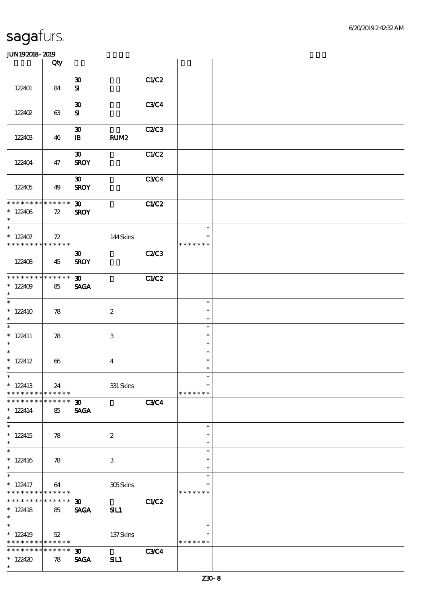|                                                                             | Qty                   |                                             |                           |              |                                      |  |
|-----------------------------------------------------------------------------|-----------------------|---------------------------------------------|---------------------------|--------------|--------------------------------------|--|
| 122401                                                                      | 84                    | $\boldsymbol{\mathfrak{D}}$<br>$\mathbf{S}$ |                           | C1/C2        |                                      |  |
| 122402                                                                      | 63                    | $\boldsymbol{\mathfrak{D}}$<br>${\bf s}$    |                           | <b>C3C4</b>  |                                      |  |
| 122403                                                                      | 46                    | $\boldsymbol{\mathfrak{D}}$<br>$\mathbf{B}$ | RUM <sub>2</sub>          | C2C3         |                                      |  |
| 122404                                                                      | 47                    | $\boldsymbol{\mathfrak{D}}$<br><b>SROY</b>  |                           | C1/C2        |                                      |  |
| 122405                                                                      | 49                    | $\boldsymbol{\mathfrak{D}}$<br><b>SROY</b>  |                           | <b>C3C4</b>  |                                      |  |
| * * * * * * * * * * * * * *<br>$*122406$<br>$\ast$                          | 72                    | $\boldsymbol{\mathfrak{D}}$<br><b>SROY</b>  |                           | C1/C2        |                                      |  |
| $\ast$<br>$*122407$<br>* * * * * * * * * * * * * * *                        | 72                    |                                             | 144Skins                  |              | $\ast$<br>$\ast$<br>* * * * * * *    |  |
| 122408                                                                      | 45                    | $\boldsymbol{\mathfrak{D}}$<br><b>SROY</b>  |                           | <b>C2/C3</b> |                                      |  |
| * * * * * * * *<br>$*122409$<br>$\ast$                                      | $* * * * * * *$<br>85 | $\boldsymbol{\mathfrak{D}}$<br><b>SAGA</b>  |                           | C1/C2        |                                      |  |
| $\overline{\phantom{0}}$<br>$*122410$<br>$\ast$<br>$\overline{\phantom{0}}$ | 78                    |                                             | $\boldsymbol{2}$          |              | $\ast$<br>$\ast$<br>$\ast$           |  |
| $* 122411$<br>$\ast$                                                        | 78                    |                                             | $\ensuremath{\mathbf{3}}$ |              | $\ast$<br>$\ast$<br>$\ast$           |  |
| $\overline{\phantom{0}}$<br>$*$ 122412<br>$\ast$                            | 66                    |                                             | $\boldsymbol{4}$          |              | $\ast$<br>$\ast$<br>$\ast$           |  |
| $*$<br>$*122413$<br>* * * * * * * *                                         | 24<br>* * * * * *     |                                             | $331$ Skins               |              | $\ast$<br>$\ast$<br>* * * * * * *    |  |
| * * * * * * *<br>$* 122414$<br>$\ast$<br>$\overline{\ast}$                  | * * * * * *<br>85     | 30 <sub>o</sub><br><b>SAGA</b>              |                           | <b>C3C4</b>  |                                      |  |
| $* 122415$<br>$\ast$<br>$\overline{\ast}$                                   | 78                    |                                             | $\boldsymbol{2}$          |              | $\ast$<br>$\ast$<br>$\ast$           |  |
| $* 122416$<br>$\ast$<br>$\overline{\ast}$                                   | 78                    |                                             | $\ensuremath{\mathbf{3}}$ |              | $\ast$<br>$\ast$<br>$\ast$<br>$\ast$ |  |
| $*$ 122417<br>* * * * * * * *                                               | 64<br>$* * * * * * *$ |                                             | 305Skins                  |              | $\ast$<br>* * * * * * *              |  |
| * * * * * * * *<br>$* 122418$<br>$\ast$<br>$\ast$                           | ******<br>85          | $\boldsymbol{\mathfrak{D}}$<br><b>SAGA</b>  | SL1                       | C1/C2        |                                      |  |
| $*122419$<br>* * * * * * * * <mark>* * * * * * *</mark>                     | 52                    |                                             | 137Skins                  |              | $\ast$<br>$\ast$<br>* * * * * * *    |  |
| * * * * * * * *<br>$*122420$<br>$\ast$                                      | * * * * * *<br>78     | $\boldsymbol{\mathfrak{D}}$<br><b>SAGA</b>  | SL1                       | <b>C3C4</b>  |                                      |  |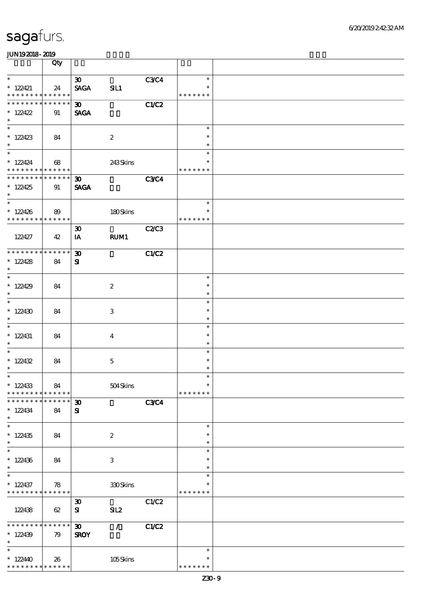|                                                                      | Qty                   |                                            |                  |              |                                   |  |
|----------------------------------------------------------------------|-----------------------|--------------------------------------------|------------------|--------------|-----------------------------------|--|
| $\ast$                                                               |                       | $\boldsymbol{\mathfrak{D}}$                |                  | C3C4         | $\ast$                            |  |
| $*$ 122421<br>* * * * * * * * * * * * * *                            | 24                    | <b>SAGA</b>                                | SL1              |              | $\ast$<br>* * * * * * *           |  |
| * * * * * * * * * * * * * *                                          |                       |                                            |                  |              |                                   |  |
| $*122422$<br>$\ast$                                                  | 91                    | $\boldsymbol{\mathfrak{D}}$<br><b>SAGA</b> |                  | C1/C2        |                                   |  |
| $*122423$<br>$\ast$                                                  | 84                    |                                            | $\boldsymbol{2}$ |              | $\ast$<br>$\ast$<br>$\ast$        |  |
| $\overline{\phantom{0}}$<br>$*122424$<br>* * * * * * * * * * * * * * | 68                    |                                            | 243Skins         |              | $\ast$<br>$\ast$<br>* * * * * * * |  |
| * * * * * * * * * * * * * * *<br>$*122425$<br>$\ast$                 | 91                    | $30-1$<br><b>SAGA</b>                      |                  | <b>C3C4</b>  |                                   |  |
| $*$<br>$*122426$<br>* * * * * * * * * * * * * * *                    | 89                    |                                            | 180Skins         |              | $\ast$<br>$\ast$<br>* * * * * * * |  |
| 122427                                                               | 42                    | $\boldsymbol{\mathfrak{D}}$<br>IA          | <b>RUM1</b>      | C2C3         |                                   |  |
| * * * * * * * * * * * * * * *<br>$*122428$<br>$\ast$                 | 84                    | $\boldsymbol{\mathfrak{D}}$<br>${\bf s}$   |                  | C1/C2        |                                   |  |
| $*122429$<br>$\ast$                                                  | 84                    |                                            | $\boldsymbol{2}$ |              | $\ast$<br>$\ast$<br>$\ast$        |  |
| $\ast$<br>$*122430$<br>$\ast$                                        | 84                    |                                            | 3                |              | $\ast$<br>$\ast$<br>$\ast$        |  |
| $\ast$<br>$*122431$<br>$\ast$                                        | 84                    |                                            | $\overline{4}$   |              | $\ast$<br>$\ast$<br>$\ast$        |  |
| $\ast$<br>* $122432$<br>$\ast$                                       | 84                    |                                            | $\mathbf 5$      |              | $\ast$<br>$\ast$<br>$\ast$        |  |
| $*$<br>$*122433$<br>* * * * * * * *                                  | 84<br>* * * * * *     |                                            | 504Skins         |              | $\ast$<br>$\ast$<br>* * * * * * * |  |
| * * * * * * *<br>$*122434$<br>$\ast$                                 | * * * * * *<br>84     | $\boldsymbol{\mathfrak{D}}$<br>${\bf s}$   |                  | <b>C3C4</b>  |                                   |  |
| $\ast$<br>$*122435$<br>$\ast$                                        | 84                    |                                            | $\boldsymbol{2}$ |              | $\ast$<br>$\ast$<br>$\ast$        |  |
| $\ast$<br>$*122436$<br>$\ast$                                        | 84                    |                                            | 3                |              | $\ast$<br>$\ast$<br>$\ast$        |  |
| $\ast$<br>$*122437$<br>* * * * * * * * <mark>* * * * * * *</mark>    | 78                    |                                            | 330Skins         |              | $\ast$<br>$\ast$<br>* * * * * * * |  |
| 122438                                                               | 62                    | $\boldsymbol{\mathfrak{D}}$<br>${\bf s}$   | SL2              | C1/C2        |                                   |  |
| * * * * * * * *<br>$*122439$<br>$\ast$                               | $* * * * * * *$<br>79 | $\boldsymbol{\mathfrak{D}}$<br><b>SROY</b> | $\mathcal{L}$    | <b>C1/C2</b> |                                   |  |
| $\ast$<br>$*122440$<br>* * * * * * * * * * * * * *                   | 26                    |                                            | 105Skins         |              | $\ast$<br>$\ast$<br>* * * * * * * |  |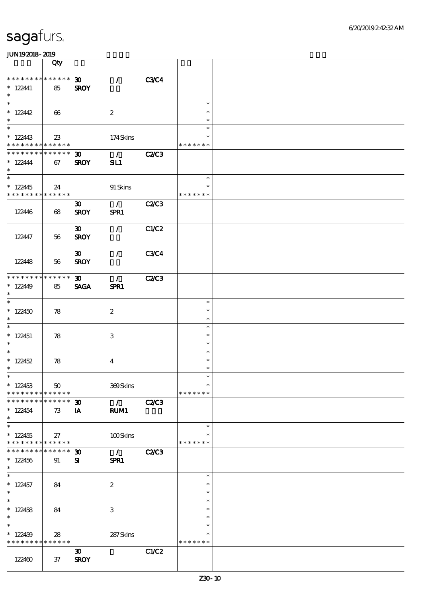|                                                                              | Qty                   |                                            |                       |              |                                   |  |
|------------------------------------------------------------------------------|-----------------------|--------------------------------------------|-----------------------|--------------|-----------------------------------|--|
| * * * * * * * * * * * * * *<br>$* 122441$<br>$\ast$                          | 85                    | $\boldsymbol{\mathfrak{D}}$<br><b>SROY</b> | $\mathcal{L}$         | <b>C3C4</b>  |                                   |  |
| $\overline{\ast}$<br>$*122442$<br>$\ast$                                     | $\boldsymbol{\omega}$ |                                            | $\boldsymbol{2}$      |              | $\ast$<br>$\ast$<br>$\ast$        |  |
| $\overline{\ast}$<br>$*122443$<br>* * * * * * * * <mark>* * * * * *</mark>   | $23\,$                |                                            | 174Skins              |              | $\ast$<br>$\ast$<br>* * * * * * * |  |
| * * * * * * * * * * * * * *<br>$* 122444$<br>$\ast$                          | 67                    | $\boldsymbol{\mathfrak{D}}$<br><b>SROY</b> | $\mathcal{L}$<br>SL1  | <b>C2/C3</b> |                                   |  |
| $\overline{\ast}$<br>$*122445$<br>* * * * * * * * <mark>* * * * * * *</mark> | 24                    |                                            | 91 Skins              |              | $\ast$<br>$\ast$<br>* * * * * * * |  |
| 122446                                                                       | 68                    | $\boldsymbol{\mathfrak{D}}$<br><b>SROY</b> | $\mathcal{L}$<br>SPR1 | C2C3         |                                   |  |
| 122447                                                                       | 56                    | $\boldsymbol{\mathfrak{D}}$<br><b>SROY</b> | $\mathcal{L}$         | C1/C2        |                                   |  |
| 122448                                                                       | 56                    | $\boldsymbol{\mathfrak{D}}$<br><b>SROY</b> | $\mathcal{L}$         | <b>C3C4</b>  |                                   |  |
| * * * * * * * * * * * * * *<br>$*122449$<br>$\ast$                           | 85                    | $\boldsymbol{\mathfrak{D}}$<br><b>SAGA</b> | $\mathcal{F}$<br>SPR1 | <b>C2/C3</b> |                                   |  |
| $\overline{\ast}$<br>$*122450$<br>$\ast$                                     | 78                    |                                            | $\boldsymbol{2}$      |              | $\ast$<br>$\ast$<br>$\ast$        |  |
| $\ast$<br>$*122451$<br>$\ast$                                                | 78                    |                                            | 3                     |              | $\ast$<br>$\ast$<br>$\ast$        |  |
| $*$<br>$*122452$<br>$\ast$                                                   | 78                    |                                            | $\bf{4}$              |              | $\ast$<br>$\ast$<br>$\ast$        |  |
| $*$<br>$*122453$<br>* * * * * * * *                                          | $50\,$<br>* * * * * * |                                            | 369Skins              |              | $\ast$<br>$\ast$<br>* * * * * * * |  |
| * * * * * * *<br>$*122454$<br>$\ast$                                         | * * * * * *<br>73     | $\boldsymbol{\mathfrak{D}}$<br>IA          | $\mathcal{L}$<br>RUM1 | <b>C2/C3</b> |                                   |  |
| $\overline{\ast}$<br>$*122455$<br>* * * * * * * * * * * * * *                | 27                    |                                            | 100Skins              |              | $\ast$<br>*<br>* * * * * * *      |  |
| * * * * * * * *<br>$*122456$<br>$\ast$                                       | * * * * * *<br>91     | $\boldsymbol{\mathfrak{D}}$<br>${\bf s}$   | $\mathcal{L}$<br>SPR1 | <b>C2/C3</b> |                                   |  |
| $\overline{\phantom{0}}$<br>$* 122457$<br>$\ast$                             | 84                    |                                            | $\boldsymbol{2}$      |              | $\ast$<br>$\ast$<br>$\ast$        |  |
| $\overline{\ast}$<br>$*122458$<br>$\ast$                                     | 84                    |                                            | 3                     |              | $\ast$<br>$\ast$<br>$\ast$        |  |
| $\ast$<br>$*122459$<br>* * * * * * * * * * * * * *                           | 28                    |                                            | 287Skins              |              | $\ast$<br>$\ast$<br>* * * * * * * |  |
| 122460                                                                       | $37\,$                | $\boldsymbol{\mathfrak{D}}$<br><b>SROY</b> |                       | C1/C2        |                                   |  |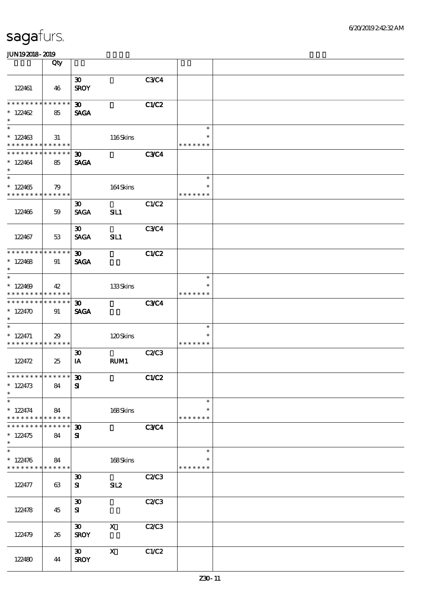|                                                                                   | Qty               |                                            |                           |              |                                   |  |
|-----------------------------------------------------------------------------------|-------------------|--------------------------------------------|---------------------------|--------------|-----------------------------------|--|
| 122461                                                                            | 46                | $\boldsymbol{\mathfrak{D}}$<br><b>SROY</b> |                           | C3C4         |                                   |  |
| * * * * * * * *<br>$*122462$<br>$\ast$                                            | * * * * * *<br>85 | $\boldsymbol{\mathfrak{D}}$<br><b>SAGA</b> |                           | C1/C2        |                                   |  |
| $\ast$<br>$*122463$<br>* * * * * * * * * * * * * *                                | 31                |                                            | 116Skins                  |              | $\ast$<br>$\ast$<br>* * * * * * * |  |
| * * * * * * * * * * * * * *<br>$*122464$<br>$\ast$                                | 85                | $\boldsymbol{\mathfrak{D}}$<br><b>SAGA</b> |                           | <b>C3C4</b>  |                                   |  |
| $\overline{\ast}$<br>$*122465$<br>* * * * * * * * * * * * * *                     | 79                |                                            | 164Skins                  |              | $\ast$<br>$\ast$<br>* * * * * * * |  |
| 122466                                                                            | 59                | $\boldsymbol{\mathfrak{D}}$<br><b>SAGA</b> | SL1                       | C1/C2        |                                   |  |
| 122467                                                                            | 53                | $\boldsymbol{\mathfrak{D}}$<br><b>SAGA</b> | SL1                       | <b>C3C4</b>  |                                   |  |
| * * * * * * * * * * * * * *<br>$*122468$<br>$\ast$                                | 91                | $\boldsymbol{\mathfrak{D}}$<br><b>SAGA</b> |                           | C1/C2        |                                   |  |
| $\ast$<br>$*122409$<br>* * * * * * * * * * * * * *                                | 42                |                                            | 133Skins                  |              | $\ast$<br>*<br>* * * * * * *      |  |
| * * * * * * * * * * * * * *<br>$* 122470$<br>$\ast$<br>$\overline{\phantom{a}^*}$ | 91                | $\boldsymbol{\mathfrak{D}}$<br><b>SAGA</b> |                           | <b>C3C4</b>  |                                   |  |
| $* 122471$<br>* * * * * * * * * * * * * *                                         | 29                |                                            | 120Skins                  |              | $\ast$<br>$\ast$<br>* * * * * * * |  |
| 122472                                                                            | 25                | $\boldsymbol{\mathfrak{D}}$<br>IA          | RUM1                      | <b>C2/C3</b> |                                   |  |
| **************<br>$* 122473$<br>$\ast$                                            | 84                | $\boldsymbol{\mathfrak{D}}$<br>${\bf s}$   |                           | C1/C2        |                                   |  |
| $\ast$<br>$*122474$<br>* * * * * * * * <mark>* * * * * * *</mark>                 | 84                |                                            | 168Skins                  |              | $\ast$<br>$\ast$<br>* * * * * * * |  |
| * * * * * * *<br>$*122475$<br>$\ast$                                              | * * * * * *<br>84 | $\boldsymbol{\mathfrak{D}}$<br>${\bf s}$   |                           | <b>C3C4</b>  |                                   |  |
| $\ast$<br>$* 122476$<br>* * * * * * * * <mark>* * * * * *</mark>                  | 84                |                                            | 168Skins                  |              | $\ast$<br>$\ast$<br>* * * * * * * |  |
| 122477                                                                            | 63                | $\boldsymbol{\mathfrak{D}}$<br>${\bf s}$   | SL2                       | C2C3         |                                   |  |
| 122478                                                                            | 45                | $\boldsymbol{\mathfrak{D}}$<br>${\bf s}$   |                           | C2/C3        |                                   |  |
| 122479                                                                            | 26                | $\boldsymbol{\mathfrak{D}}$<br><b>SROY</b> | $\boldsymbol{\mathsf{X}}$ | C2C3         |                                   |  |
| 122480                                                                            | 44                | $\boldsymbol{\mathfrak{D}}$<br><b>SROY</b> | $\boldsymbol{\mathrm{X}}$ | C1/C2        |                                   |  |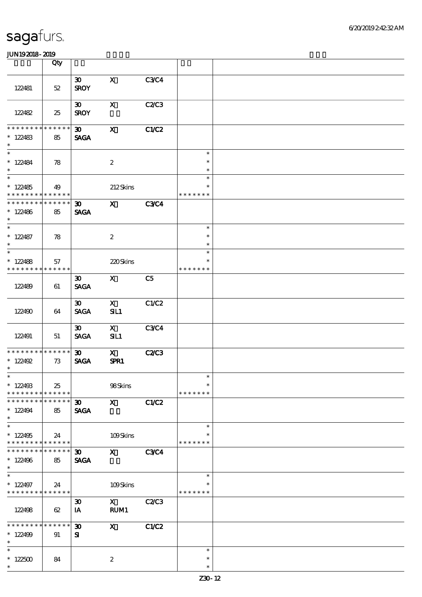|                                          | Qty               |                                |                                                                                                                                                                                                                                                                                                                                 |                |                         |  |
|------------------------------------------|-------------------|--------------------------------|---------------------------------------------------------------------------------------------------------------------------------------------------------------------------------------------------------------------------------------------------------------------------------------------------------------------------------|----------------|-------------------------|--|
|                                          |                   | $\boldsymbol{\mathfrak{D}}$    | $\mathbf x$                                                                                                                                                                                                                                                                                                                     | <b>C3C4</b>    |                         |  |
| 122481                                   | $52\,$            | <b>SROY</b>                    |                                                                                                                                                                                                                                                                                                                                 |                |                         |  |
|                                          |                   | 30 <sub>o</sub>                | $\boldsymbol{\mathrm{X}}$                                                                                                                                                                                                                                                                                                       | C2C3           |                         |  |
| 122482                                   | 25                | <b>SROY</b>                    |                                                                                                                                                                                                                                                                                                                                 |                |                         |  |
| * * * * * * * *                          | * * * * * *       | $\boldsymbol{\mathfrak{D}}$    | $\boldsymbol{\mathsf{X}}$                                                                                                                                                                                                                                                                                                       | C1/C2          |                         |  |
| $*122483$<br>$\ast$                      | 85                | <b>SAGA</b>                    |                                                                                                                                                                                                                                                                                                                                 |                |                         |  |
| $\ast$                                   |                   |                                |                                                                                                                                                                                                                                                                                                                                 |                | $\ast$                  |  |
| $*122484$<br>$\ast$                      | 78                |                                | $\boldsymbol{2}$                                                                                                                                                                                                                                                                                                                |                | $\ast$<br>$\ast$        |  |
| $\overline{\phantom{0}}$                 |                   |                                |                                                                                                                                                                                                                                                                                                                                 |                | $\ast$                  |  |
| $*122485$<br>* * * * * * * *             | 49<br>* * * * * * |                                | 212Skins                                                                                                                                                                                                                                                                                                                        |                | $\ast$<br>* * * * * * * |  |
| * * * * * * * *                          | * * * * * *       | 30 <sub>o</sub>                | $\mathbf x$ and $\mathbf x$ and $\mathbf x$ and $\mathbf x$ and $\mathbf x$ and $\mathbf x$ and $\mathbf x$ and $\mathbf x$ and $\mathbf x$ and $\mathbf x$ and $\mathbf x$ and $\mathbf x$ and $\mathbf x$ and $\mathbf x$ and $\mathbf x$ and $\mathbf x$ and $\mathbf x$ and $\mathbf x$ and $\mathbf x$ and $\mathbf x$ and | <b>C3C4</b>    |                         |  |
| $*122486$<br>$\ast$                      | 85                | <b>SAGA</b>                    |                                                                                                                                                                                                                                                                                                                                 |                |                         |  |
| $\ast$                                   |                   |                                |                                                                                                                                                                                                                                                                                                                                 |                | $\ast$                  |  |
| $*122487$<br>$\ast$                      | 78                |                                | $\boldsymbol{2}$                                                                                                                                                                                                                                                                                                                |                | $\ast$<br>$\ast$        |  |
| $\overline{\ast}$                        |                   |                                |                                                                                                                                                                                                                                                                                                                                 |                | $\ast$                  |  |
| $*122488$                                | 57                |                                | 220Skins                                                                                                                                                                                                                                                                                                                        |                | $\ast$                  |  |
| * * * * * * * * * * * * * *              |                   |                                |                                                                                                                                                                                                                                                                                                                                 |                | * * * * * * *           |  |
| 122489                                   | 61                | 30 <sub>o</sub><br><b>SAGA</b> | $\mathbf{X}$                                                                                                                                                                                                                                                                                                                    | C <sub>5</sub> |                         |  |
|                                          |                   | $\boldsymbol{\mathfrak{D}}$    | $\mathbf{x}$                                                                                                                                                                                                                                                                                                                    | C1/C2          |                         |  |
| 122490                                   | 64                | <b>SAGA</b>                    | SL1                                                                                                                                                                                                                                                                                                                             |                |                         |  |
|                                          |                   | $\boldsymbol{\mathfrak{D}}$    | $\mathbf{X}$                                                                                                                                                                                                                                                                                                                    | <b>C3C4</b>    |                         |  |
| 122491                                   | 51                | <b>SAGA</b>                    | SL1                                                                                                                                                                                                                                                                                                                             |                |                         |  |
| * * * * * * * * * * * * * *              |                   | 30 <sub>o</sub>                | $\mathbf{x}$                                                                                                                                                                                                                                                                                                                    | C2C3           |                         |  |
| $* 122492$<br>$\ast$                     | 73                | <b>SAGA</b>                    | SPR1                                                                                                                                                                                                                                                                                                                            |                |                         |  |
| $*$                                      |                   |                                |                                                                                                                                                                                                                                                                                                                                 |                | $\ast$                  |  |
| $*122493$                                | 25                |                                | 98Skins                                                                                                                                                                                                                                                                                                                         |                | $\ast$                  |  |
| * * * * * * * *                          | * * * * * *       |                                |                                                                                                                                                                                                                                                                                                                                 |                | * * * * * * *           |  |
| * * * * * * *<br>$*122494$               | * * * * * *<br>85 | 30 <sup>2</sup><br><b>SAGA</b> | $\mathbf{x}$                                                                                                                                                                                                                                                                                                                    | C1/C2          |                         |  |
| $\ast$<br>$\overline{\phantom{0}}$       |                   |                                |                                                                                                                                                                                                                                                                                                                                 |                | $\ast$                  |  |
| $*122495$                                | 24                |                                | 109Skins                                                                                                                                                                                                                                                                                                                        |                | ∗                       |  |
| * * * * * * * * * * * * * *              |                   |                                |                                                                                                                                                                                                                                                                                                                                 |                | * * * * * * *           |  |
| * * * * * * * *                          | * * * * * *       | $\boldsymbol{\mathfrak{D}}$    | $\mathbf{x}$                                                                                                                                                                                                                                                                                                                    | <b>C3C4</b>    |                         |  |
| $*122496$                                | 85                | <b>SAGA</b>                    |                                                                                                                                                                                                                                                                                                                                 |                |                         |  |
| $\ast$                                   |                   |                                |                                                                                                                                                                                                                                                                                                                                 |                |                         |  |
| $\overline{\phantom{0}}$                 |                   |                                |                                                                                                                                                                                                                                                                                                                                 |                | $\ast$                  |  |
| $*122497$<br>* * * * * * * * * * * * * * | 24                |                                | 109Skins                                                                                                                                                                                                                                                                                                                        |                | $\ast$<br>* * * * * * * |  |
|                                          |                   | $\boldsymbol{\mathfrak{D}}$    | $\mathbf{X}$                                                                                                                                                                                                                                                                                                                    | C2C3           |                         |  |
| 122498                                   | 62                | IA                             | RUM1                                                                                                                                                                                                                                                                                                                            |                |                         |  |
| * * * * * * * *                          | * * * * * *       | $\boldsymbol{\mathfrak{D}}$    | $\boldsymbol{\mathrm{X}}$                                                                                                                                                                                                                                                                                                       | C1/C2          |                         |  |
| $*122499$                                | 91                | ${\bf s}$                      |                                                                                                                                                                                                                                                                                                                                 |                |                         |  |
| $\ast$                                   |                   |                                |                                                                                                                                                                                                                                                                                                                                 |                |                         |  |
| $\ast$                                   |                   |                                |                                                                                                                                                                                                                                                                                                                                 |                | $\ast$                  |  |
| $^\ast$ 122500                           | 84                |                                | $\boldsymbol{2}$                                                                                                                                                                                                                                                                                                                |                | $\ast$                  |  |
| $\ast$                                   |                   |                                |                                                                                                                                                                                                                                                                                                                                 |                | $\ast$                  |  |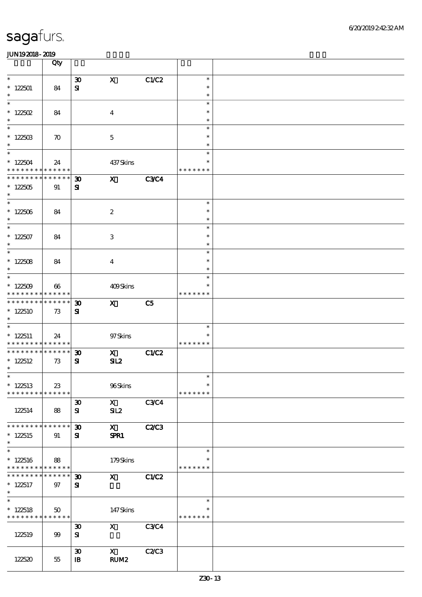|                                                                           | Qty                |                                          |                           |                |                         |  |
|---------------------------------------------------------------------------|--------------------|------------------------------------------|---------------------------|----------------|-------------------------|--|
| $\ast$                                                                    |                    | $\boldsymbol{\mathfrak{D}}$              | $\mathbf{x}$              | C1/C2          | $\ast$                  |  |
| $*122501$<br>$\ast$                                                       | 84                 | ${\bf s}$                                |                           |                | $\ast$<br>$\ast$        |  |
| $\ast$                                                                    |                    |                                          |                           |                | $\ast$                  |  |
| $* 122502$<br>$\ast$                                                      | 84                 |                                          | $\boldsymbol{4}$          |                | $\ast$<br>$\ast$        |  |
| $\overline{\phantom{0}}$                                                  |                    |                                          |                           |                | $\ast$                  |  |
| $*12250B$<br>$\ast$                                                       | $\boldsymbol{\pi}$ |                                          | $\mathbf 5$               |                | $\ast$<br>$\ast$        |  |
| $\overline{\ast}$                                                         |                    |                                          |                           |                | $\ast$<br>$\ast$        |  |
| $*122504$<br>* * * * * * * * * * * * * *                                  | 24                 |                                          | 437Skins                  |                | * * * * * * *           |  |
| ******** <mark>******</mark>                                              |                    | $\boldsymbol{\mathfrak{D}}$              | $\mathbf{x}$              | C3C4           |                         |  |
| $*122505$<br>$\ast$                                                       | 91                 | ${\bf s}$                                |                           |                |                         |  |
| $\overline{\phantom{0}}$<br>$^\ast$ 122506                                | 84                 |                                          | $\boldsymbol{2}$          |                | $\ast$<br>$\ast$        |  |
| $\ast$                                                                    |                    |                                          |                           |                | $\ast$                  |  |
| $\overline{\ast}$<br>$*122507$                                            | 84                 |                                          | 3                         |                | $\ast$<br>$\ast$        |  |
| $\ast$                                                                    |                    |                                          |                           |                | $\ast$                  |  |
| $\overline{\phantom{1}}$<br>* $122508$                                    | 84                 |                                          | $\overline{4}$            |                | $\ast$<br>$\ast$        |  |
| $\ast$                                                                    |                    |                                          |                           |                | $\ast$                  |  |
| $\overline{\ast}$<br>$*122509$                                            | 66                 |                                          | 409Skins                  |                | $\ast$<br>*             |  |
| * * * * * * * * * * * * * *                                               |                    |                                          |                           |                | * * * * * * *           |  |
| * * * * * * * * * * * * * *<br>$*122510$                                  | 73                 | $\boldsymbol{\mathfrak{D}}$<br>${\bf s}$ | $\mathbf{x}$              | C <sub>5</sub> |                         |  |
| $\ast$<br>$\overline{\phantom{0}}$                                        |                    |                                          |                           |                |                         |  |
| $*122511$                                                                 | 24                 |                                          | 97Skins                   |                | $\ast$<br>$\ast$        |  |
| * * * * * * * * <mark>* * * * * * *</mark><br>* * * * * * * * * * * * * * |                    |                                          |                           |                | * * * * * * *           |  |
| $* 122512$                                                                | 73                 | $\boldsymbol{\mathfrak{D}}$<br>${\bf s}$ | $\mathbf{x}$<br>SL2       | C1/C2          |                         |  |
| $\ast$<br>$*$                                                             |                    |                                          |                           |                | $\ast$                  |  |
| $*122513$                                                                 | 23                 |                                          | 96Skins                   |                | $\ast$                  |  |
| * * * * * * * * * * * * * *                                               |                    | $\boldsymbol{\mathfrak{D}}$              | $\mathbf{x}$              | C3C4           | * * * * * * *           |  |
| 122514                                                                    | 88                 | ${\bf s}$                                | SL2                       |                |                         |  |
| * * * * * * * * * * * * * *                                               |                    | $\boldsymbol{\mathfrak{D}}$              | $\mathbf{x}$              | <b>C2/C3</b>   |                         |  |
| $*122515$                                                                 | 91                 | ${\bf s}$                                | SPR1                      |                |                         |  |
| $\ast$<br>$\ast$                                                          |                    |                                          |                           |                | $\ast$                  |  |
| $*122516$                                                                 | 88                 |                                          | 179Skins                  |                | $\ast$                  |  |
| * * * * * * * * <mark>* * * * * *</mark> *<br>* * * * * * *               | * * * * * *        | $\boldsymbol{\mathfrak{D}}$              | $\mathbf{x}$              | C1/C2          | * * * * * * *           |  |
| $*122517$                                                                 | 97                 | ${\bf s}$                                |                           |                |                         |  |
| $\ast$<br>$\ast$                                                          |                    |                                          |                           |                | $\ast$                  |  |
| $*122518$<br>* * * * * * * * * * * * * *                                  | 50                 |                                          | 147Skins                  |                | $\ast$<br>* * * * * * * |  |
|                                                                           |                    | $\boldsymbol{\mathfrak{D}}$              | $\boldsymbol{\mathsf{X}}$ | C3C4           |                         |  |
| 122519                                                                    | 99                 | ${\bf s}$                                |                           |                |                         |  |
|                                                                           |                    | $\boldsymbol{\mathfrak{D}}$              | $\mathbf{X}$              | C2C3           |                         |  |
| 122520                                                                    | 55                 | $\mathbf{B}$                             | RUM <sub>2</sub>          |                |                         |  |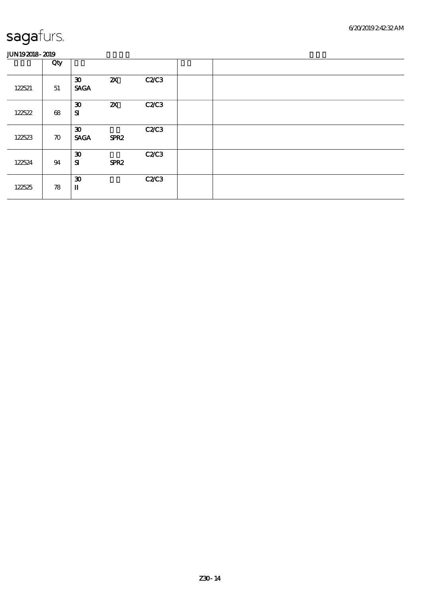|        | Qty                |                                                                      |                           |              |  |
|--------|--------------------|----------------------------------------------------------------------|---------------------------|--------------|--|
| 122521 | $51\,$             | $\boldsymbol{\mathfrak{D}}$<br><b>SAGA</b>                           | $\boldsymbol{\mathsf{z}}$ | C2C3         |  |
| 122522 | 68                 | $\boldsymbol{\mathfrak{D}}$<br>${\bf s}$                             | $\boldsymbol{\mathsf{Z}}$ | <b>C2/C3</b> |  |
| 122523 | $\boldsymbol{\pi}$ | $\boldsymbol{\mathfrak{D}}$<br><b>SAGA</b>                           | SPR <sub>2</sub>          | <b>C2/C3</b> |  |
| 122524 | 94                 | $\boldsymbol{\mathfrak{D}}$<br>${\bf s}$                             | SPR <sub>2</sub>          | C2C3         |  |
| 122525 | 78                 | $\boldsymbol{\mathfrak{D}}$<br>$\rm I\hspace{-.1em}I\hspace{-.1em}I$ |                           | C2C3         |  |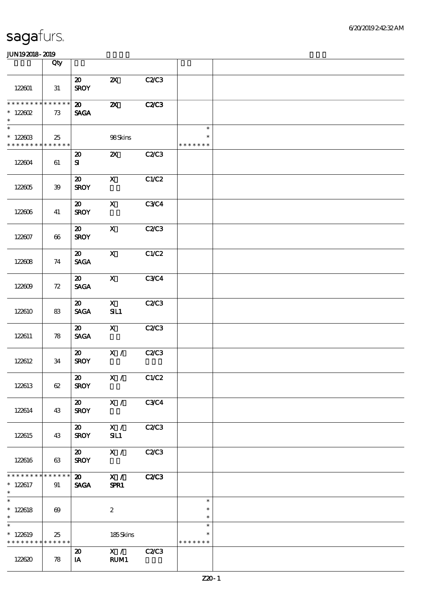|                                                                      | Qty                   |                                            |                           |              |                                   |  |
|----------------------------------------------------------------------|-----------------------|--------------------------------------------|---------------------------|--------------|-----------------------------------|--|
| 122601                                                               | 31                    | $\boldsymbol{\omega}$<br><b>SROY</b>       | $\boldsymbol{\mathsf{Z}}$ | C2C3         |                                   |  |
| * * * * * * * *<br>$* 122602$<br>$\ast$                              | ******<br>73          | $\boldsymbol{\mathfrak{D}}$<br><b>SAGA</b> | $\boldsymbol{\mathsf{z}}$ | <b>C2/C3</b> |                                   |  |
| $\overline{\phantom{0}}$<br>$*12260B$<br>* * * * * * * * * * * * * * | 25                    |                                            | 98Skins                   |              | $\ast$<br>$\ast$<br>* * * * * * * |  |
| 122604                                                               | 61                    | $\boldsymbol{\mathfrak{D}}$<br>${\bf s}$   | $\boldsymbol{\mathsf{Z}}$ | <b>C2/C3</b> |                                   |  |
| 122605                                                               | 39                    | $\boldsymbol{\mathfrak{D}}$<br><b>SROY</b> | $\mathbf{X}$              | C1/C2        |                                   |  |
| 122606                                                               | 41                    | $\boldsymbol{\mathfrak{D}}$<br><b>SROY</b> | $\mathbf{x}$              | <b>C3C4</b>  |                                   |  |
| 122607                                                               | 66                    | $\boldsymbol{\mathfrak{D}}$<br><b>SROY</b> | $\mathbf{x}$              | <b>C2/C3</b> |                                   |  |
| 122608                                                               | 74                    | $\boldsymbol{\mathfrak{D}}$<br><b>SAGA</b> | $\mathbf{X}$              | C1/C2        |                                   |  |
| 122609                                                               | 72                    | $\boldsymbol{\mathfrak{D}}$<br><b>SAGA</b> | $\mathbf{x}$              | C3C4         |                                   |  |
| 122610                                                               | 83                    | $\boldsymbol{\mathfrak{D}}$<br><b>SAGA</b> | $\mathbf{x}$<br>SL1       | C2/C3        |                                   |  |
| 122611                                                               | 78                    | $\boldsymbol{\mathfrak{D}}$<br><b>SAGA</b> | $\mathbf{x}$              | C2C3         |                                   |  |
| 122612                                                               | 34                    | $\boldsymbol{\omega}$<br><b>SROY</b>       | X /                       | C2C3         |                                   |  |
| 122613                                                               | 62                    | $\boldsymbol{\mathfrak{D}}$<br><b>SROY</b> | X / C1/C2                 |              |                                   |  |
| 122614                                                               | 43                    | $\boldsymbol{\mathsf{20}}$<br><b>SROY</b>  | X /                       | <b>C3C4</b>  |                                   |  |
| 122615                                                               | 43                    | $\boldsymbol{\mathsf{20}}$<br><b>SROY</b>  | X /<br>SL1                | <b>C2/C3</b> |                                   |  |
| 122616                                                               | 63                    | $\boldsymbol{\omega}$<br><b>SROY</b>       | X /                       | C2C3         |                                   |  |
| * * * * * * *<br>$\ast$<br>$* 122617$<br>$\ast$                      | * * * * * *<br>91     | $\boldsymbol{\mathfrak{D}}$<br><b>SAGA</b> | $\mathbf{X}$ /<br>SPR1    | C2C3         |                                   |  |
| $\overline{\ast}$<br>$* 122618$<br>$\ast$                            | $\boldsymbol{\omega}$ |                                            | $\boldsymbol{2}$          |              | $\ast$<br>$\ast$<br>$\ast$        |  |
| $\ast$<br>$*122619$<br>* * * * * * * * <mark>* * * * * * *</mark>    | 25                    |                                            | 185Skins                  |              | $\ast$<br>$\ast$<br>* * * * * * * |  |
| 122620                                                               | 78                    | $\boldsymbol{\mathsf{20}}$<br>IA           | $\mathbf{x}$ /<br>RUM1    | C2C3         |                                   |  |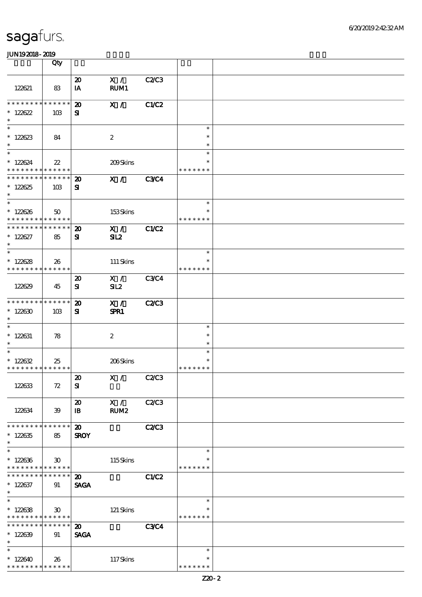|                                            | Qty                         |                                            |                  |              |                  |  |
|--------------------------------------------|-----------------------------|--------------------------------------------|------------------|--------------|------------------|--|
|                                            |                             | $\boldsymbol{\mathsf{20}}$                 | X /              | C2/C3        |                  |  |
| 122621                                     | 83                          | IA                                         | RUM1             |              |                  |  |
| * * * * * * * * * * * * * *                |                             |                                            |                  |              |                  |  |
| $*128822$                                  | 10B                         | $\boldsymbol{\mathfrak{D}}$<br>${\bf s}$   | X /              | C1/C2        |                  |  |
| $\ast$                                     |                             |                                            |                  |              |                  |  |
| $\ast$                                     |                             |                                            |                  |              | $\ast$           |  |
| $*122623$<br>$\ast$                        | 84                          |                                            | $\boldsymbol{2}$ |              | $\ast$<br>$\ast$ |  |
| $\overline{\ast}$                          |                             |                                            |                  |              | $\ast$           |  |
| $*128624$                                  | $22\,$                      |                                            | 209Skins         |              | $\ast$           |  |
| * * * * * * * * * * * * * *                |                             |                                            |                  |              | * * * * * * *    |  |
| * * * * * * * * * * * * * *                |                             | $\boldsymbol{\mathfrak{D}}$                | X /              | <b>C3C4</b>  |                  |  |
| $*128825$<br>$\ast$                        | 10B                         | ${\bf s}$                                  |                  |              |                  |  |
| $\ast$                                     |                             |                                            |                  |              | $\ast$           |  |
| $*122626$                                  | 50                          |                                            | 153Skins         |              | $\ast$           |  |
| * * * * * * * * * * * * * *                |                             |                                            |                  |              | * * * * * * *    |  |
| * * * * * * * * * * * * * *                |                             | $\boldsymbol{\mathfrak{D}}$                | X /              | C1/C2        |                  |  |
| $* 122627$<br>$\ast$                       | 85                          | ${\bf s}$                                  | SL2              |              |                  |  |
| $\ast$                                     |                             |                                            |                  |              | $\ast$           |  |
| $*12888$                                   | 26                          |                                            | 111 Skins        |              | $\ast$           |  |
| * * * * * * * * * * * * * *                |                             |                                            |                  |              | * * * * * * *    |  |
|                                            |                             | $\boldsymbol{\mathfrak{D}}$                | X /              | <b>C3C4</b>  |                  |  |
| 122629                                     | 45                          | ${\bf s}$                                  | SL2              |              |                  |  |
| * * * * * * * * * * * * * *                |                             | $\boldsymbol{\mathfrak{D}}$                | X /              | <b>C2/C3</b> |                  |  |
| $*12830$                                   | 10B                         | $\mathbf{S}$                               | SPR1             |              |                  |  |
| $\ast$                                     |                             |                                            |                  |              |                  |  |
| $\ast$                                     |                             |                                            |                  |              | $\ast$           |  |
| $* 122631$<br>$\ast$                       | 78                          |                                            | $\boldsymbol{2}$ |              | $\ast$<br>$\ast$ |  |
| $\ast$                                     |                             |                                            |                  |              | $\ast$           |  |
| $*128632$                                  | 25                          |                                            | 206Skins         |              | $\ast$           |  |
| * * * * * * * * * * * * * *                |                             |                                            |                  |              | * * * * * * *    |  |
|                                            |                             | $\boldsymbol{\mathsf{20}}$                 | X / C2/C3        |              |                  |  |
| 122633                                     | 72                          | ${\bf s}$                                  |                  |              |                  |  |
|                                            |                             | $\boldsymbol{\mathfrak{D}}$                | X /              | C2C3         |                  |  |
| 122634                                     | 39                          | $\mathbf{B}$                               | RUM2             |              |                  |  |
|                                            |                             |                                            |                  |              |                  |  |
| * * * * * * * * * * * * * *<br>$*122635$   |                             | $\boldsymbol{\mathfrak{D}}$                |                  | <b>C2/C3</b> |                  |  |
| $\ast$                                     | 85                          | <b>SROY</b>                                |                  |              |                  |  |
| $\ast$                                     |                             |                                            |                  |              | $\ast$           |  |
| $*122636$                                  | $30^{\circ}$                |                                            | $115S$ kins      |              |                  |  |
| * * * * * * * * <mark>* * * * * *</mark> * |                             |                                            |                  |              | * * * * * * *    |  |
| * * * * * * * *                            | * * * * * *                 | $\boldsymbol{\mathfrak{D}}$                |                  | C1/C2        |                  |  |
| $*122637$<br>$\ast$                        | 91                          | <b>SAGA</b>                                |                  |              |                  |  |
| $\ast$                                     |                             |                                            |                  |              | $\ast$           |  |
| $*122638$                                  | $\boldsymbol{\mathfrak{D}}$ |                                            | 121 Skins        |              | *                |  |
| * * * * * * * *                            | * * * * * *                 |                                            |                  |              | * * * * * * *    |  |
| * * * * * * * * * * * * * *<br>$*122639$   | 91                          | $\boldsymbol{\mathfrak{D}}$<br><b>SAGA</b> |                  | <b>C3C4</b>  |                  |  |
| $\ast$                                     |                             |                                            |                  |              |                  |  |
| $\ast$                                     |                             |                                            |                  |              | $\ast$           |  |
| $*122640$                                  | 26                          |                                            | 117Skins         |              | ∗                |  |
| * * * * * * * * * * * * * *                |                             |                                            |                  |              | * * * * * * *    |  |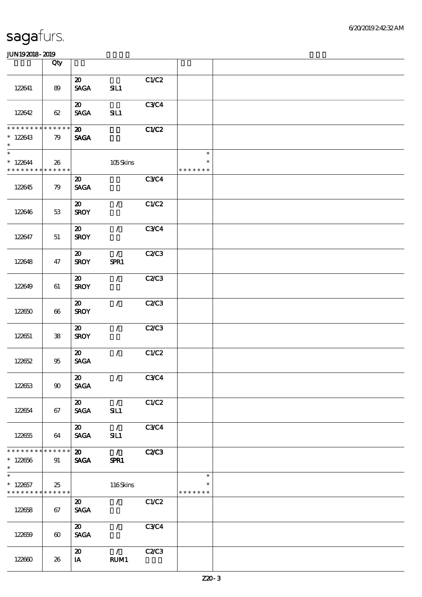|                                                                      | Qty                   |                                            |                                  |              |                                   |  |
|----------------------------------------------------------------------|-----------------------|--------------------------------------------|----------------------------------|--------------|-----------------------------------|--|
| 122641                                                               | 89                    | $\boldsymbol{\mathfrak{D}}$<br><b>SAGA</b> | SL1                              | C1/C2        |                                   |  |
| 122642                                                               | 62                    | $\boldsymbol{\mathfrak{D}}$<br><b>SAGA</b> | SL1                              | <b>C3C4</b>  |                                   |  |
| * * * * * * * * * * * * * *<br>$*128643$<br>$\ast$                   | 79                    | $\boldsymbol{\mathfrak{D}}$<br><b>SAGA</b> |                                  | C1/C2        |                                   |  |
| $\overline{\phantom{0}}$<br>$*128644$<br>* * * * * * * * * * * * * * | 26                    |                                            | 105Skins                         |              | $\ast$<br>$\ast$<br>* * * * * * * |  |
| 122645                                                               | 79                    | $\boldsymbol{\mathfrak{D}}$<br><b>SAGA</b> |                                  | <b>C3C4</b>  |                                   |  |
| 122646                                                               | 53                    | $\boldsymbol{\omega}$<br><b>SROY</b>       | $\mathcal{L}$                    | C1/C2        |                                   |  |
| 122647                                                               | 51                    | $\boldsymbol{\mathfrak{D}}$<br><b>SROY</b> | $\mathcal{L}$                    | <b>C3C4</b>  |                                   |  |
| 122648                                                               | 47                    | $\boldsymbol{\mathfrak{D}}$<br><b>SROY</b> | $\mathcal{T}$<br>SPR1            | <b>C2/C3</b> |                                   |  |
| 122649                                                               | 61                    | $\boldsymbol{\mathfrak{D}}$<br><b>SROY</b> | $\mathcal{F}$                    | <b>C2/C3</b> |                                   |  |
| 122650                                                               | 66                    | $\boldsymbol{\mathfrak{D}}$<br><b>SROY</b> | $\mathcal{L}$                    | C2/C3        |                                   |  |
| 122651                                                               | 38                    | $\boldsymbol{\mathfrak{D}}$<br><b>SROY</b> | $\mathcal{L}$                    | C2C3         |                                   |  |
| 122652                                                               | 95                    | $\boldsymbol{\mathfrak{D}}$<br><b>SAGA</b> | $\mathcal{L}$                    | C1/C2        |                                   |  |
| 122653                                                               | $90^{\circ}$          | $\boldsymbol{\mathsf{20}}$<br><b>SAGA</b>  | $\sqrt{}$ C3C4                   |              |                                   |  |
| 122654                                                               | 67                    | $\boldsymbol{\mathsf{20}}$<br><b>SAGA</b>  | $\mathcal{L}$<br>SIL1            | C1/C2        |                                   |  |
| 122655                                                               | 64                    | $\boldsymbol{\mathsf{20}}$<br><b>SAGA</b>  | $\mathcal{L}$<br>SIL1            | C3C4         |                                   |  |
| * * * * * * * * * * * * * *<br>$*122656$<br>$\ast$                   | 91                    | $\boldsymbol{\mathfrak{D}}$<br><b>SAGA</b> | $\overline{\phantom{a}}$<br>SPR1 | <b>C2/C3</b> |                                   |  |
| $\overline{\phantom{0}}$<br>$*122657$<br>* * * * * * * * * * * * * * | 25                    |                                            | $116$ Skins                      |              | $\ast$<br>$\ast$<br>* * * * * * * |  |
| 122658                                                               | 67                    | $\boldsymbol{\mathfrak{D}}$<br><b>SACA</b> | $\mathcal{L}$                    | C1/C2        |                                   |  |
| 122659                                                               | $\boldsymbol{\omega}$ | $\boldsymbol{\omega}$<br><b>SAGA</b>       | $\mathcal{L}$                    | C3C4         |                                   |  |
| 122660                                                               | 26                    | $\boldsymbol{\mathfrak{D}}$<br>$I$ A       | $\mathcal{T}$<br>RUM1            | C2C3         |                                   |  |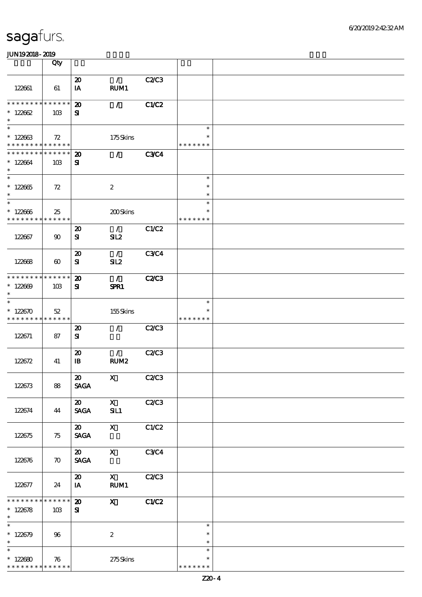|                              | Qty                   |                             |                                 |              |                  |  |
|------------------------------|-----------------------|-----------------------------|---------------------------------|--------------|------------------|--|
|                              |                       | $\boldsymbol{\mathbf{z}}$   | $\mathcal{L}$                   | C2C3         |                  |  |
| 122661                       | 61                    | IA                          | RUM1                            |              |                  |  |
| * * * * * * * * * * * * * *  |                       | $\boldsymbol{\mathfrak{D}}$ | $\mathcal{L}$                   | C1/C2        |                  |  |
| $*12862$                     | 10B                   | ${\bf s}$                   |                                 |              |                  |  |
| $\ast$                       |                       |                             |                                 |              |                  |  |
| $\ast$                       |                       |                             |                                 |              | $\ast$           |  |
| $*122663$                    | 72                    |                             | 175Skins                        |              |                  |  |
| * * * * * * * * * * * * * *  |                       |                             |                                 |              | * * * * * * *    |  |
| * * * * * * * * * * * * * *  |                       | $\boldsymbol{\mathfrak{D}}$ | $\mathcal{L}$ and $\mathcal{L}$ | <b>C3C4</b>  |                  |  |
| $*122664$                    | 10B                   | ${\bf s}$                   |                                 |              |                  |  |
| $\ast$                       |                       |                             |                                 |              |                  |  |
| $\overline{\ast}$            |                       |                             |                                 |              | $\ast$           |  |
| $*122665$                    | 72                    |                             | $\boldsymbol{2}$                |              | $\ast$           |  |
| $\ast$<br>$\ast$             |                       |                             |                                 |              | $\ast$           |  |
|                              |                       |                             |                                 |              | $\ast$<br>$\ast$ |  |
| $*122666$<br>* * * * * * * * | 25<br>* * * * * *     |                             | 200Skins                        |              | * * * * * * *    |  |
|                              |                       | $\boldsymbol{\mathbf{z}}$   | $\mathcal{L}$                   | C1/C2        |                  |  |
| 122667                       | $90^{\circ}$          | ${\bf s}$                   | SL2                             |              |                  |  |
|                              |                       |                             |                                 |              |                  |  |
|                              |                       | $\boldsymbol{\mathfrak{D}}$ | $\mathcal{L}$                   | <b>C3C4</b>  |                  |  |
| 122668                       | $\boldsymbol{\omega}$ | ${\bf s}$                   | SL2                             |              |                  |  |
|                              |                       |                             |                                 |              |                  |  |
| * * * * * * * * * * * * * *  |                       | $\boldsymbol{\mathbf{z}}$   | $\mathcal{L}$                   | <b>C2/C3</b> |                  |  |
| $*12869$                     | 10B                   | ${\bf s}$                   | SPR1                            |              |                  |  |
| $\ast$                       |                       |                             |                                 |              |                  |  |
| $\ast$                       |                       |                             |                                 |              | $\ast$           |  |
| $*122670$                    | 52                    |                             | 155Skins                        |              |                  |  |
| * * * * * * * * * * * * * *  |                       |                             |                                 |              | * * * * * * *    |  |
|                              |                       | $\boldsymbol{\mathfrak{D}}$ | $\mathcal{L}$                   | <b>C2/C3</b> |                  |  |
| 122671                       | 87                    | ${\bf s}$                   |                                 |              |                  |  |
|                              |                       |                             |                                 |              |                  |  |
|                              |                       | $\boldsymbol{\mathfrak{D}}$ | $\mathcal{L}$                   | C2C3         |                  |  |
| 122672                       | 41                    | $\mathbf{B}$                | RUM <sub>2</sub>                |              |                  |  |
|                              |                       | $\boldsymbol{\omega}$       | $\mathbf{X}$                    | <b>C2/C3</b> |                  |  |
| 122673                       | 88                    | <b>SAGA</b>                 |                                 |              |                  |  |
|                              |                       |                             |                                 |              |                  |  |
|                              |                       | $\boldsymbol{\mathsf{20}}$  | $\mathbf{X}$                    | <b>C2/C3</b> |                  |  |
| 122674                       | 44                    | <b>SAGA</b>                 | SL1                             |              |                  |  |
|                              |                       |                             |                                 |              |                  |  |
|                              |                       | $\boldsymbol{\mathsf{20}}$  | $\mathbf{X}$                    | C1/C2        |                  |  |
| 122675                       | 75                    | <b>SAGA</b>                 |                                 |              |                  |  |
|                              |                       |                             |                                 |              |                  |  |
|                              |                       | $\boldsymbol{\omega}$       | $\mathbf{x}$                    | <b>C3C4</b>  |                  |  |
| 122676                       | $\boldsymbol{\pi}$    | <b>SAGA</b>                 |                                 |              |                  |  |
|                              |                       |                             |                                 |              |                  |  |
|                              |                       | $\boldsymbol{\omega}$       | $\mathbf{X}$                    | C2C3         |                  |  |
| 122677                       | 24                    | IA                          | RUM1                            |              |                  |  |
| * * * * * * *                | * * * * * *           | $\boldsymbol{\mathsf{20}}$  | $\mathbf X$                     | C1/C2        |                  |  |
| $*122678$                    | 10B                   | ${\bf s}$                   |                                 |              |                  |  |
| $\ast$                       |                       |                             |                                 |              |                  |  |
| $\ast$                       |                       |                             |                                 |              | $\ast$           |  |
| $*122679$                    | 96                    |                             | $\boldsymbol{2}$                |              | $\ast$           |  |
| $\ast$                       |                       |                             |                                 |              | $\ast$           |  |
| $\overline{\ast}$            |                       |                             |                                 |              | $\ast$           |  |
| $*122680$                    | 76                    |                             | $275$ Skins                     |              | $\ast$           |  |
| * * * * * * * *              | * * * * * *           |                             |                                 |              | * * * * * * *    |  |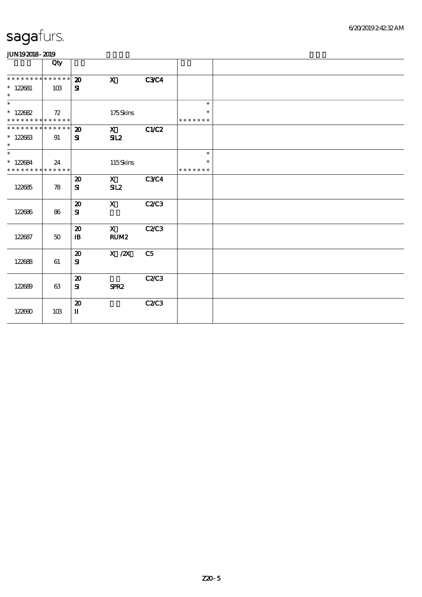| www.ww                                                         |        |                                             |                      |                |                                   |  |
|----------------------------------------------------------------|--------|---------------------------------------------|----------------------|----------------|-----------------------------------|--|
|                                                                | Qty    |                                             |                      |                |                                   |  |
| ******** <mark>******</mark><br>$* 122681$<br>$\ast$           | 10B    | $\boldsymbol{\mathfrak{D}}$<br>${\bf s}$    | $\mathbf x$          | <b>C3C4</b>    |                                   |  |
| $\overline{\ast}$<br>$* 122682$<br>* * * * * * * * * * * * * * | 72     |                                             | 175Skins             |                | $\ast$<br>$\ast$<br>* * * * * * * |  |
| ******** <mark>******</mark><br>$*122683$<br>$\ast$            | 91     | 20<br>${\bf s}$                             | $\mathbf{X}$<br>SL2  | C1/C2          |                                   |  |
| $\ast$<br>$*122684$<br>* * * * * * * * * * * * * *             | 24     |                                             | 115Skins             |                | $\ast$<br>$\ast$<br>* * * * * * * |  |
| 122685                                                         | 78     | $\boldsymbol{\mathfrak{D}}$<br>${\bf s}$    | $\mathbf{x}$<br>SL2  | <b>C3C4</b>    |                                   |  |
| 122686                                                         | 86     | $\boldsymbol{\mathbf{z}}$<br>${\bf s}$      | $\mathbf{X}$         | <b>C2C3</b>    |                                   |  |
| 122687                                                         | $50\,$ | $\boldsymbol{\mathfrak{D}}$<br>$\mathbf{B}$ | $\mathbf{X}$<br>RUM2 | <b>C2/C3</b>   |                                   |  |
| 122688                                                         | 61     | $\boldsymbol{\mathfrak{D}}$<br>${\bf s}$    | $X$ / $ZX$           | C <sub>5</sub> |                                   |  |
| 122689                                                         | 63     | $\boldsymbol{\mathbf{z}}$<br>${\bf s}$      | SPR <sub>2</sub>     | C2C3           |                                   |  |
| 122690                                                         | 10B    | $\boldsymbol{\mathbf{z}}$<br>$\mathbf{I}$   |                      | C2/C3          |                                   |  |